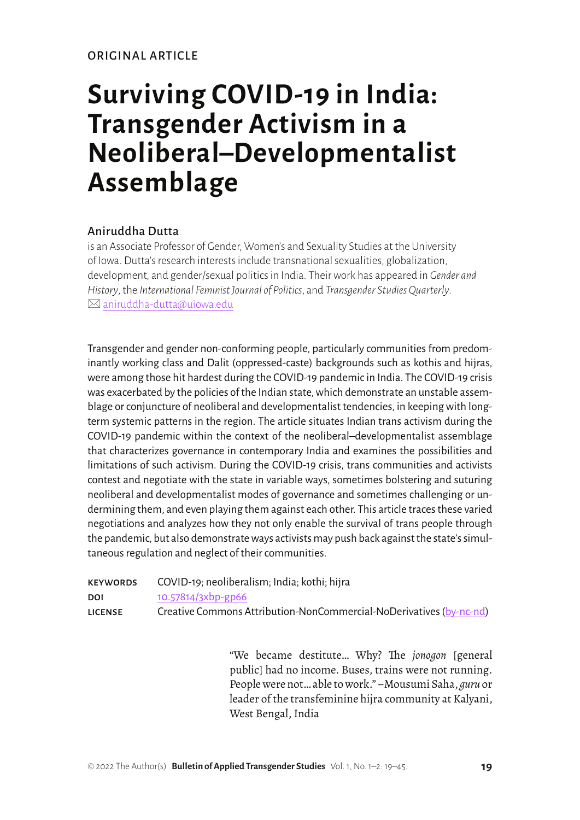# **Surviving COVID-19 in India: Transgender Activism in a Neoliberal–Developmentalist Assemblage**

## Aniruddha Dutta

is an Associate Professor of Gender, Women's and Sexuality Studies at the University of Iowa. Dutta's research interests include transnational sexualities, globalization, development, and gender/sexual politics in India. Their work has appeared in *Gender and History*, the *International Feminist Journal of Politics*, and *Transgender Studies Quarterly*.  $\boxtimes$  [aniruddha-dutta@uiowa.edu](mailto:aniruddha-dutta@uiowa.edu)

Transgender and gender non-conforming people, particularly communities from predominantly working class and Dalit (oppressed-caste) backgrounds such as kothis and hijras, were among those hit hardest during the COVID-19 pandemic in India. The COVID-19 crisis was exacerbated by the policies of the Indian state, which demonstrate an unstable assemblage or conjuncture of neoliberal and developmentalist tendencies, in keeping with longterm systemic patterns in the region. The article situates Indian trans activism during the COVID-19 pandemic within the context of the neoliberal–developmentalist assemblage that characterizes governance in contemporary India and examines the possibilities and limitations of such activism. During the COVID-19 crisis, trans communities and activists contest and negotiate with the state in variable ways, sometimes bolstering and suturing neoliberal and developmentalist modes of governance and sometimes challenging or undermining them, and even playing them against each other. This article traces these varied negotiations and analyzes how they not only enable the survival of trans people through the pandemic, but also demonstrate ways activists may push back against the state's simultaneous regulation and neglect of their communities.

| <b>KEYWORDS</b> | COVID-19; neoliberalism; India; kothi; hijra                        |
|-----------------|---------------------------------------------------------------------|
| DOI             | 10.57814/3xbp-gp66                                                  |
| <b>LICENSE</b>  | Creative Commons Attribution-NonCommercial-NoDerivatives (by-nc-nd) |

"We became destitute… Why? The *jonogon* [general public] had no income. Buses, trains were not running. People were not… able to work." –Mousumi Saha, *guru* or leader of the transfeminine hijra community at Kalyani, West Bengal, India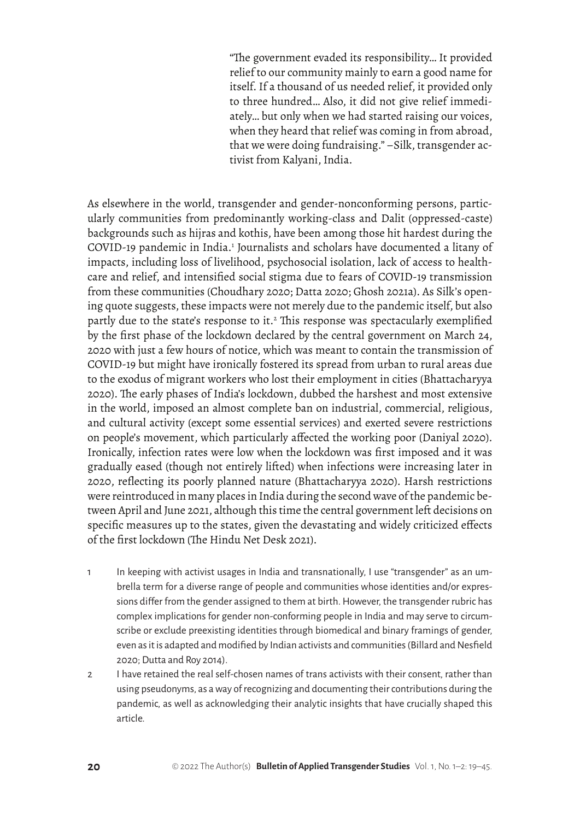"The government evaded its responsibility… It provided relief to our community mainly to earn a good name for itself. If a thousand of us needed relief, it provided only to three hundred… Also, it did not give relief immediately… but only when we had started raising our voices, when they heard that relief was coming in from abroad, that we were doing fundraising." –Silk, transgender activist from Kalyani, India.

As elsewhere in the world, transgender and gender-nonconforming persons, particularly communities from predominantly working-class and Dalit (oppressed-caste) backgrounds such as hijras and kothis, have been among those hit hardest during the COVID-19 pandemic in India.<sup>1</sup> Journalists and scholars have documented a litany of impacts, including loss of livelihood, psychosocial isolation, lack of access to healthcare and relief, and intensified social stigma due to fears of COVID-19 transmission from these communities (Choudhary 2020; Datta 2020; Ghosh 2021a). As Silk's opening quote suggests, these impacts were not merely due to the pandemic itself, but also partly due to the state's response to it.<sup>2</sup> This response was spectacularly exemplified by the first phase of the lockdown declared by the central government on March 24, 2020 with just a few hours of notice, which was meant to contain the transmission of COVID-19 but might have ironically fostered its spread from urban to rural areas due to the exodus of migrant workers who lost their employment in cities (Bhattacharyya 2020). The early phases of India's lockdown, dubbed the harshest and most extensive in the world, imposed an almost complete ban on industrial, commercial, religious, and cultural activity (except some essential services) and exerted severe restrictions on people's movement, which particularly affected the working poor (Daniyal 2020). Ironically, infection rates were low when the lockdown was first imposed and it was gradually eased (though not entirely lifted) when infections were increasing later in 2020, reflecting its poorly planned nature (Bhattacharyya 2020). Harsh restrictions were reintroduced in many places in India during the second wave of the pandemic between April and June 2021, although this time the central government left decisions on specific measures up to the states, given the devastating and widely criticized effects of the first lockdown (The Hindu Net Desk 2021).

- 1 In keeping with activist usages in India and transnationally, I use "transgender" as an umbrella term for a diverse range of people and communities whose identities and/or expressions differ from the gender assigned to them at birth. However, the transgender rubric has complex implications for gender non-conforming people in India and may serve to circumscribe or exclude preexisting identities through biomedical and binary framings of gender, even as it is adapted and modified by Indian activists and communities (Billard and Nesfield 2020; Dutta and Roy 2014).
- 2 I have retained the real self-chosen names of trans activists with their consent, rather than using pseudonyms, as a way of recognizing and documenting their contributions during the pandemic, as well as acknowledging their analytic insights that have crucially shaped this article.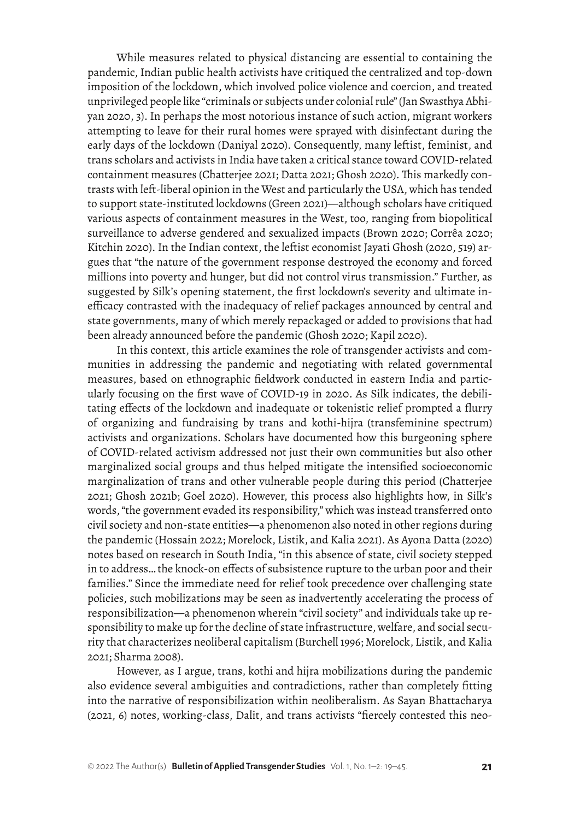While measures related to physical distancing are essential to containing the pandemic, Indian public health activists have critiqued the centralized and top-down imposition of the lockdown, which involved police violence and coercion, and treated unprivileged people like "criminals or subjects under colonial rule" (Jan Swasthya Abhiyan 2020, 3). In perhaps the most notorious instance of such action, migrant workers attempting to leave for their rural homes were sprayed with disinfectant during the early days of the lockdown (Daniyal 2020). Consequently, many leftist, feminist, and trans scholars and activists in India have taken a critical stance toward COVID-related containment measures (Chatterjee 2021; Datta 2021; Ghosh 2020). This markedly contrasts with left-liberal opinion in the West and particularly the USA, which has tended to support state-instituted lockdowns (Green 2021)—although scholars have critiqued various aspects of containment measures in the West, too, ranging from biopolitical surveillance to adverse gendered and sexualized impacts (Brown 2020; Corrêa 2020; Kitchin 2020). In the Indian context, the leftist economist Jayati Ghosh (2020, 519) argues that "the nature of the government response destroyed the economy and forced millions into poverty and hunger, but did not control virus transmission." Further, as suggested by Silk's opening statement, the first lockdown's severity and ultimate inefficacy contrasted with the inadequacy of relief packages announced by central and state governments, many of which merely repackaged or added to provisions that had been already announced before the pandemic (Ghosh 2020; Kapil 2020).

In this context, this article examines the role of transgender activists and communities in addressing the pandemic and negotiating with related governmental measures, based on ethnographic fieldwork conducted in eastern India and particularly focusing on the first wave of COVID-19 in 2020. As Silk indicates, the debilitating effects of the lockdown and inadequate or tokenistic relief prompted a flurry of organizing and fundraising by trans and kothi-hijra (transfeminine spectrum) activists and organizations. Scholars have documented how this burgeoning sphere of COVID-related activism addressed not just their own communities but also other marginalized social groups and thus helped mitigate the intensified socioeconomic marginalization of trans and other vulnerable people during this period (Chatterjee 2021; Ghosh 2021b; Goel 2020). However, this process also highlights how, in Silk's words, "the government evaded its responsibility," which was instead transferred onto civil society and non-state entities—a phenomenon also noted in other regions during the pandemic (Hossain 2022; Morelock, Listik, and Kalia 2021). As Ayona Datta (2020) notes based on research in South India, "in this absence of state, civil society stepped in to address… the knock-on effects of subsistence rupture to the urban poor and their families." Since the immediate need for relief took precedence over challenging state policies, such mobilizations may be seen as inadvertently accelerating the process of responsibilization—a phenomenon wherein "civil society" and individuals take up responsibility to make up for the decline of state infrastructure, welfare, and social security that characterizes neoliberal capitalism (Burchell 1996; Morelock, Listik, and Kalia 2021; Sharma 2008).

However, as I argue, trans, kothi and hijra mobilizations during the pandemic also evidence several ambiguities and contradictions, rather than completely fitting into the narrative of responsibilization within neoliberalism. As Sayan Bhattacharya (2021, 6) notes, working-class, Dalit, and trans activists "fiercely contested this neo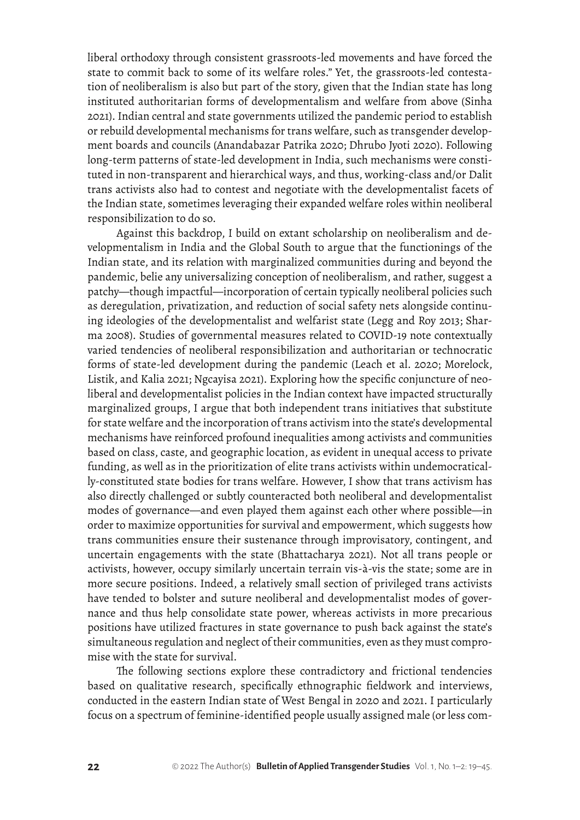liberal orthodoxy through consistent grassroots-led movements and have forced the state to commit back to some of its welfare roles." Yet, the grassroots-led contestation of neoliberalism is also but part of the story, given that the Indian state has long instituted authoritarian forms of developmentalism and welfare from above (Sinha 2021). Indian central and state governments utilized the pandemic period to establish or rebuild developmental mechanisms for trans welfare, such as transgender development boards and councils (Anandabazar Patrika 2020; Dhrubo Jyoti 2020). Following long-term patterns of state-led development in India, such mechanisms were constituted in non-transparent and hierarchical ways, and thus, working-class and/or Dalit trans activists also had to contest and negotiate with the developmentalist facets of the Indian state, sometimes leveraging their expanded welfare roles within neoliberal responsibilization to do so.

Against this backdrop, I build on extant scholarship on neoliberalism and developmentalism in India and the Global South to argue that the functionings of the Indian state, and its relation with marginalized communities during and beyond the pandemic, belie any universalizing conception of neoliberalism, and rather, suggest a patchy—though impactful—incorporation of certain typically neoliberal policies such as deregulation, privatization, and reduction of social safety nets alongside continuing ideologies of the developmentalist and welfarist state (Legg and Roy 2013; Sharma 2008). Studies of governmental measures related to COVID-19 note contextually varied tendencies of neoliberal responsibilization and authoritarian or technocratic forms of state-led development during the pandemic (Leach et al. 2020; Morelock, Listik, and Kalia 2021; Ngcayisa 2021). Exploring how the specific conjuncture of neoliberal and developmentalist policies in the Indian context have impacted structurally marginalized groups, I argue that both independent trans initiatives that substitute for state welfare and the incorporation of trans activism into the state's developmental mechanisms have reinforced profound inequalities among activists and communities based on class, caste, and geographic location, as evident in unequal access to private funding, as well as in the prioritization of elite trans activists within undemocratically-constituted state bodies for trans welfare. However, I show that trans activism has also directly challenged or subtly counteracted both neoliberal and developmentalist modes of governance—and even played them against each other where possible—in order to maximize opportunities for survival and empowerment, which suggests how trans communities ensure their sustenance through improvisatory, contingent, and uncertain engagements with the state (Bhattacharya 2021). Not all trans people or activists, however, occupy similarly uncertain terrain vis-à-vis the state; some are in more secure positions. Indeed, a relatively small section of privileged trans activists have tended to bolster and suture neoliberal and developmentalist modes of governance and thus help consolidate state power, whereas activists in more precarious positions have utilized fractures in state governance to push back against the state's simultaneous regulation and neglect of their communities, even as they must compromise with the state for survival.

The following sections explore these contradictory and frictional tendencies based on qualitative research, specifically ethnographic fieldwork and interviews, conducted in the eastern Indian state of West Bengal in 2020 and 2021. I particularly focus on a spectrum of feminine-identified people usually assigned male (or less com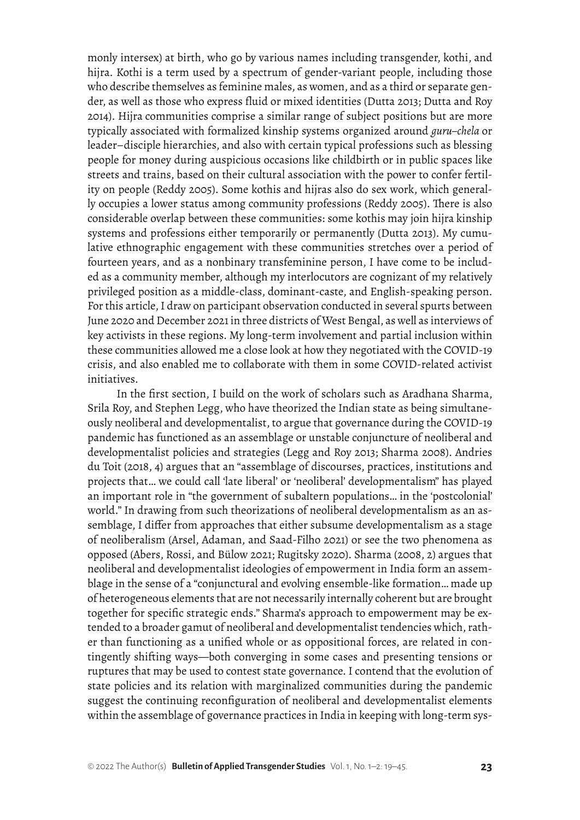monly intersex) at birth, who go by various names including transgender, kothi, and hijra*.* Kothi is a term used by a spectrum of gender-variant people, including those who describe themselves as feminine males, as women, and as a third or separate gender, as well as those who express fluid or mixed identities (Dutta 2013; Dutta and Roy 2014). Hijra communities comprise a similar range of subject positions but are more typically associated with formalized kinship systems organized around *guru–chela* or leader–disciple hierarchies, and also with certain typical professions such as blessing people for money during auspicious occasions like childbirth or in public spaces like streets and trains, based on their cultural association with the power to confer fertility on people (Reddy 2005). Some kothis and hijras also do sex work, which generally occupies a lower status among community professions (Reddy 2005). There is also considerable overlap between these communities: some kothis may join hijra kinship systems and professions either temporarily or permanently (Dutta 2013). My cumulative ethnographic engagement with these communities stretches over a period of fourteen years, and as a nonbinary transfeminine person, I have come to be included as a community member, although my interlocutors are cognizant of my relatively privileged position as a middle-class, dominant-caste, and English-speaking person. For this article, I draw on participant observation conducted in several spurts between June 2020 and December 2021 in three districts of West Bengal, as well as interviews of key activists in these regions. My long-term involvement and partial inclusion within these communities allowed me a close look at how they negotiated with the COVID-19 crisis, and also enabled me to collaborate with them in some COVID-related activist initiatives.

In the first section, I build on the work of scholars such as Aradhana Sharma, Srila Roy, and Stephen Legg, who have theorized the Indian state as being simultaneously neoliberal and developmentalist, to argue that governance during the COVID-19 pandemic has functioned as an assemblage or unstable conjuncture of neoliberal and developmentalist policies and strategies (Legg and Roy 2013; Sharma 2008). Andries du Toit (2018, 4) argues that an "assemblage of discourses, practices, institutions and projects that… we could call 'late liberal' or 'neoliberal' developmentalism" has played an important role in "the government of subaltern populations… in the 'postcolonial' world." In drawing from such theorizations of neoliberal developmentalism as an assemblage, I differ from approaches that either subsume developmentalism as a stage of neoliberalism (Arsel, Adaman, and Saad-Filho 2021) or see the two phenomena as opposed (Abers, Rossi, and Bülow 2021; Rugitsky 2020). Sharma (2008, 2) argues that neoliberal and developmentalist ideologies of empowerment in India form an assemblage in the sense of a "conjunctural and evolving ensemble-like formation… made up of heterogeneous elements that are not necessarily internally coherent but are brought together for specific strategic ends." Sharma's approach to empowerment may be extended to a broader gamut of neoliberal and developmentalist tendencies which, rather than functioning as a unified whole or as oppositional forces, are related in contingently shifting ways—both converging in some cases and presenting tensions or ruptures that may be used to contest state governance. I contend that the evolution of state policies and its relation with marginalized communities during the pandemic suggest the continuing reconfiguration of neoliberal and developmentalist elements within the assemblage of governance practices in India in keeping with long-term sys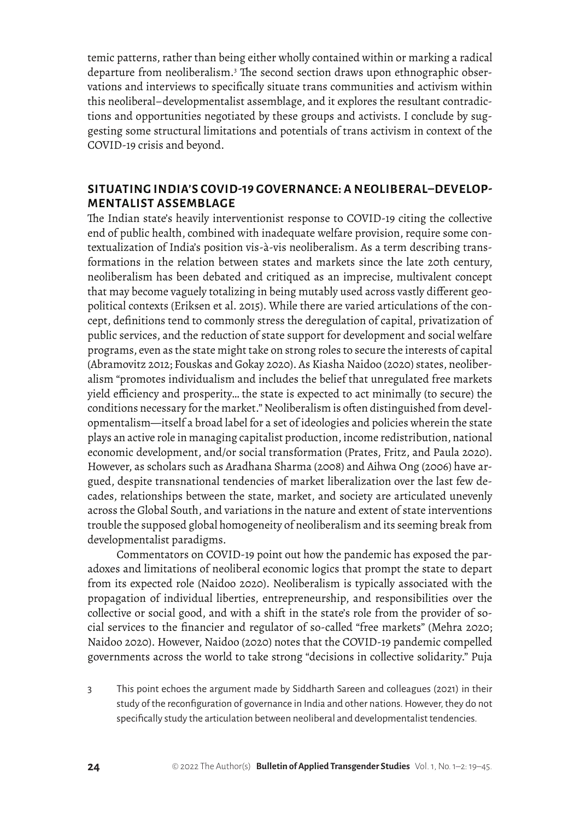temic patterns, rather than being either wholly contained within or marking a radical departure from neoliberalism.<sup>3</sup> The second section draws upon ethnographic observations and interviews to specifically situate trans communities and activism within this neoliberal–developmentalist assemblage, and it explores the resultant contradictions and opportunities negotiated by these groups and activists. I conclude by suggesting some structural limitations and potentials of trans activism in context of the COVID-19 crisis and beyond.

# **SITUATING INDIA'S COVID-19 GOVERNANCE: A NEOLIBERAL–DEVELOP-MENTALIST ASSEMBLAGE**

The Indian state's heavily interventionist response to COVID-19 citing the collective end of public health, combined with inadequate welfare provision, require some contextualization of India's position vis-à-vis neoliberalism. As a term describing transformations in the relation between states and markets since the late 20th century, neoliberalism has been debated and critiqued as an imprecise, multivalent concept that may become vaguely totalizing in being mutably used across vastly different geopolitical contexts (Eriksen et al. 2015). While there are varied articulations of the concept, definitions tend to commonly stress the deregulation of capital, privatization of public services, and the reduction of state support for development and social welfare programs, even as the state might take on strong roles to secure the interests of capital (Abramovitz 2012; Fouskas and Gokay 2020). As Kiasha Naidoo (2020) states, neoliberalism "promotes individualism and includes the belief that unregulated free markets yield efficiency and prosperity… the state is expected to act minimally (to secure) the conditions necessary for the market." Neoliberalism is often distinguished from developmentalism—itself a broad label for a set of ideologies and policies wherein the state plays an active role in managing capitalist production, income redistribution, national economic development, and/or social transformation (Prates, Fritz, and Paula 2020). However, as scholars such as Aradhana Sharma (2008) and Aihwa Ong (2006) have argued, despite transnational tendencies of market liberalization over the last few decades, relationships between the state, market, and society are articulated unevenly across the Global South, and variations in the nature and extent of state interventions trouble the supposed global homogeneity of neoliberalism and its seeming break from developmentalist paradigms.

Commentators on COVID-19 point out how the pandemic has exposed the paradoxes and limitations of neoliberal economic logics that prompt the state to depart from its expected role (Naidoo 2020). Neoliberalism is typically associated with the propagation of individual liberties, entrepreneurship, and responsibilities over the collective or social good, and with a shift in the state's role from the provider of social services to the financier and regulator of so-called "free markets" (Mehra 2020; Naidoo 2020). However, Naidoo (2020) notes that the COVID-19 pandemic compelled governments across the world to take strong "decisions in collective solidarity." Puja

3 This point echoes the argument made by Siddharth Sareen and colleagues (2021) in their study of the reconfiguration of governance in India and other nations. However, they do not specifically study the articulation between neoliberal and developmentalist tendencies.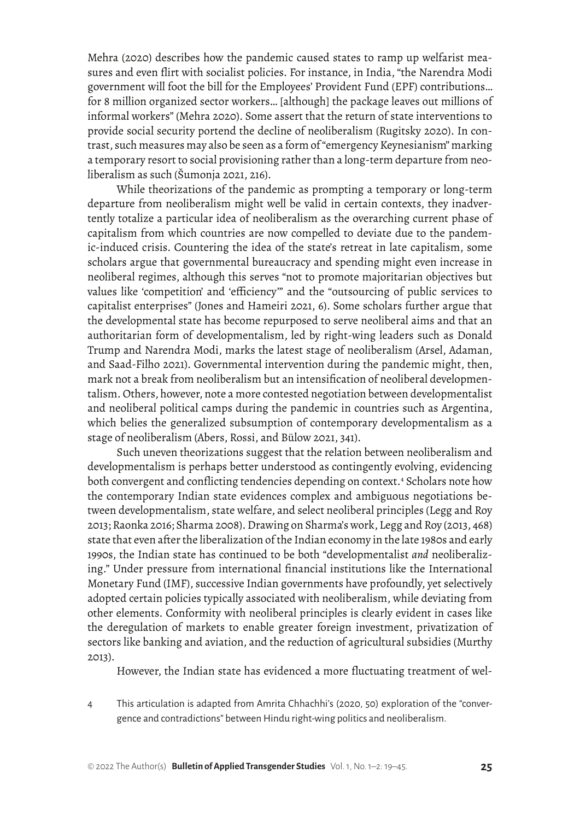Mehra (2020) describes how the pandemic caused states to ramp up welfarist measures and even flirt with socialist policies. For instance, in India, "the Narendra Modi government will foot the bill for the Employees' Provident Fund (EPF) contributions… for 8 million organized sector workers… [although] the package leaves out millions of informal workers" (Mehra 2020). Some assert that the return of state interventions to provide social security portend the decline of neoliberalism (Rugitsky 2020). In contrast, such measures may also be seen as a form of "emergency Keynesianism" marking a temporary resort to social provisioning rather than a long-term departure from neoliberalism as such (Šumonja 2021, 216).

While theorizations of the pandemic as prompting a temporary or long-term departure from neoliberalism might well be valid in certain contexts, they inadvertently totalize a particular idea of neoliberalism as the overarching current phase of capitalism from which countries are now compelled to deviate due to the pandemic-induced crisis. Countering the idea of the state's retreat in late capitalism, some scholars argue that governmental bureaucracy and spending might even increase in neoliberal regimes, although this serves "not to promote majoritarian objectives but values like 'competition' and 'efficiency'" and the "outsourcing of public services to capitalist enterprises" (Jones and Hameiri 2021, 6). Some scholars further argue that the developmental state has become repurposed to serve neoliberal aims and that an authoritarian form of developmentalism, led by right-wing leaders such as Donald Trump and Narendra Modi, marks the latest stage of neoliberalism (Arsel, Adaman, and Saad-Filho 2021). Governmental intervention during the pandemic might, then, mark not a break from neoliberalism but an intensification of neoliberal developmentalism. Others, however, note a more contested negotiation between developmentalist and neoliberal political camps during the pandemic in countries such as Argentina, which belies the generalized subsumption of contemporary developmentalism as a stage of neoliberalism (Abers, Rossi, and Bülow 2021, 341).

Such uneven theorizations suggest that the relation between neoliberalism and developmentalism is perhaps better understood as contingently evolving, evidencing both convergent and conflicting tendencies depending on context.4 Scholars note how the contemporary Indian state evidences complex and ambiguous negotiations between developmentalism, state welfare, and select neoliberal principles (Legg and Roy 2013; Raonka 2016; Sharma 2008). Drawing on Sharma's work, Legg and Roy (2013, 468) state that even after the liberalization of the Indian economy in the late 1980s and early 1990s, the Indian state has continued to be both "developmentalist *and* neoliberalizing." Under pressure from international financial institutions like the International Monetary Fund (IMF), successive Indian governments have profoundly, yet selectively adopted certain policies typically associated with neoliberalism, while deviating from other elements. Conformity with neoliberal principles is clearly evident in cases like the deregulation of markets to enable greater foreign investment, privatization of sectors like banking and aviation, and the reduction of agricultural subsidies (Murthy 2013).

However, the Indian state has evidenced a more fluctuating treatment of wel-

4 This articulation is adapted from Amrita Chhachhi's (2020, 50) exploration of the "convergence and contradictions" between Hindu right-wing politics and neoliberalism.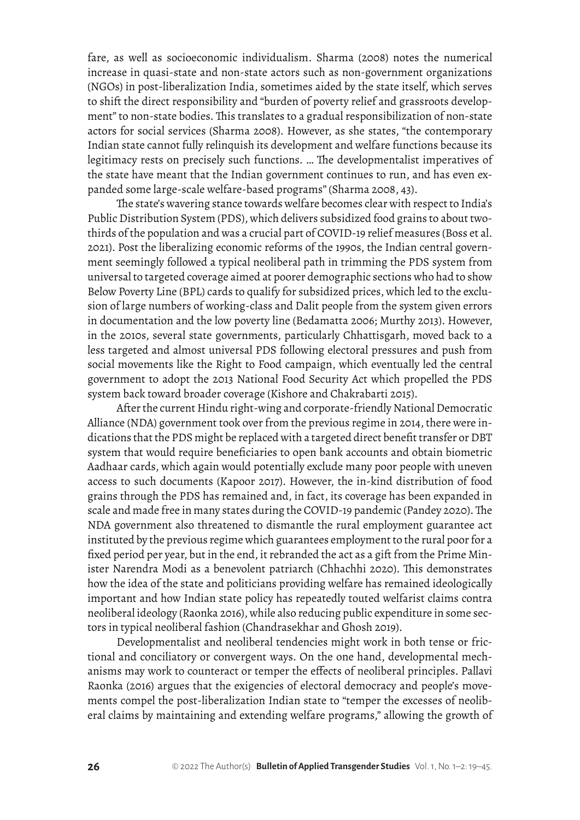fare, as well as socioeconomic individualism. Sharma (2008) notes the numerical increase in quasi-state and non-state actors such as non-government organizations (NGOs) in post-liberalization India, sometimes aided by the state itself, which serves to shift the direct responsibility and "burden of poverty relief and grassroots development" to non-state bodies. This translates to a gradual responsibilization of non-state actors for social services (Sharma 2008). However, as she states, "the contemporary Indian state cannot fully relinquish its development and welfare functions because its legitimacy rests on precisely such functions. … The developmentalist imperatives of the state have meant that the Indian government continues to run, and has even expanded some large-scale welfare-based programs" (Sharma 2008, 43).

The state's wavering stance towards welfare becomes clear with respect to India's Public Distribution System (PDS), which delivers subsidized food grains to about twothirds of the population and was a crucial part of COVID-19 relief measures (Boss et al. 2021). Post the liberalizing economic reforms of the 1990s, the Indian central government seemingly followed a typical neoliberal path in trimming the PDS system from universal to targeted coverage aimed at poorer demographic sections who had to show Below Poverty Line (BPL) cards to qualify for subsidized prices, which led to the exclusion of large numbers of working-class and Dalit people from the system given errors in documentation and the low poverty line (Bedamatta 2006; Murthy 2013). However, in the 2010s, several state governments, particularly Chhattisgarh, moved back to a less targeted and almost universal PDS following electoral pressures and push from social movements like the Right to Food campaign, which eventually led the central government to adopt the 2013 National Food Security Act which propelled the PDS system back toward broader coverage (Kishore and Chakrabarti 2015).

After the current Hindu right-wing and corporate-friendly National Democratic Alliance (NDA) government took over from the previous regime in 2014, there were indications that the PDS might be replaced with a targeted direct benefit transfer or DBT system that would require beneficiaries to open bank accounts and obtain biometric Aadhaar cards, which again would potentially exclude many poor people with uneven access to such documents (Kapoor 2017). However, the in-kind distribution of food grains through the PDS has remained and, in fact, its coverage has been expanded in scale and made free in many states during the COVID-19 pandemic (Pandey 2020). The NDA government also threatened to dismantle the rural employment guarantee act instituted by the previous regime which guarantees employment to the rural poor for a fixed period per year, but in the end, it rebranded the act as a gift from the Prime Minister Narendra Modi as a benevolent patriarch (Chhachhi 2020). This demonstrates how the idea of the state and politicians providing welfare has remained ideologically important and how Indian state policy has repeatedly touted welfarist claims contra neoliberal ideology (Raonka 2016), while also reducing public expenditure in some sectors in typical neoliberal fashion (Chandrasekhar and Ghosh 2019).

Developmentalist and neoliberal tendencies might work in both tense or frictional and conciliatory or convergent ways. On the one hand, developmental mechanisms may work to counteract or temper the effects of neoliberal principles. Pallavi Raonka (2016) argues that the exigencies of electoral democracy and people's movements compel the post-liberalization Indian state to "temper the excesses of neoliberal claims by maintaining and extending welfare programs," allowing the growth of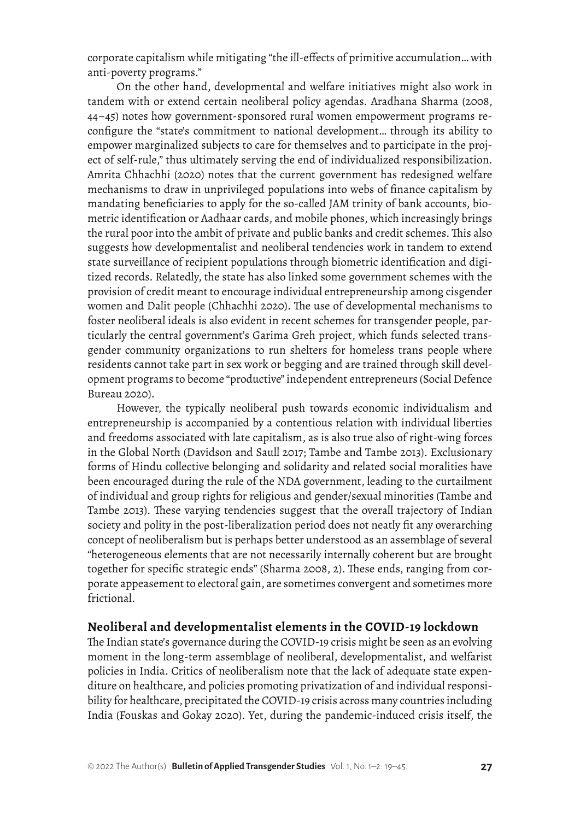corporate capitalism while mitigating "the ill-effects of primitive accumulation… with anti-poverty programs."

On the other hand, developmental and welfare initiatives might also work in tandem with or extend certain neoliberal policy agendas. Aradhana Sharma (2008, 44–45) notes how government-sponsored rural women empowerment programs reconfigure the "state's commitment to national development… through its ability to empower marginalized subjects to care for themselves and to participate in the project of self-rule," thus ultimately serving the end of individualized responsibilization. Amrita Chhachhi (2020) notes that the current government has redesigned welfare mechanisms to draw in unprivileged populations into webs of finance capitalism by mandating beneficiaries to apply for the so-called JAM trinity of bank accounts, biometric identification or Aadhaar cards, and mobile phones, which increasingly brings the rural poor into the ambit of private and public banks and credit schemes. This also suggests how developmentalist and neoliberal tendencies work in tandem to extend state surveillance of recipient populations through biometric identification and digitized records. Relatedly, the state has also linked some government schemes with the provision of credit meant to encourage individual entrepreneurship among cisgender women and Dalit people (Chhachhi 2020). The use of developmental mechanisms to foster neoliberal ideals is also evident in recent schemes for transgender people, particularly the central government's Garima Greh project, which funds selected transgender community organizations to run shelters for homeless trans people where residents cannot take part in sex work or begging and are trained through skill development programs to become "productive" independent entrepreneurs (Social Defence Bureau 2020).

However, the typically neoliberal push towards economic individualism and entrepreneurship is accompanied by a contentious relation with individual liberties and freedoms associated with late capitalism, as is also true also of right-wing forces in the Global North (Davidson and Saull 2017; Tambe and Tambe 2013). Exclusionary forms of Hindu collective belonging and solidarity and related social moralities have been encouraged during the rule of the NDA government, leading to the curtailment of individual and group rights for religious and gender/sexual minorities (Tambe and Tambe 2013). These varying tendencies suggest that the overall trajectory of Indian society and polity in the post-liberalization period does not neatly fit any overarching concept of neoliberalism but is perhaps better understood as an assemblage of several "heterogeneous elements that are not necessarily internally coherent but are brought together for specific strategic ends" (Sharma 2008, 2). These ends, ranging from corporate appeasement to electoral gain, are sometimes convergent and sometimes more frictional.

#### **Neoliberal and developmentalist elements in the COVID-19 lockdown**

The Indian state's governance during the COVID-19 crisis might be seen as an evolving moment in the long-term assemblage of neoliberal, developmentalist, and welfarist policies in India. Critics of neoliberalism note that the lack of adequate state expenditure on healthcare, and policies promoting privatization of and individual responsibility for healthcare, precipitated the COVID-19 crisis across many countries including India (Fouskas and Gokay 2020). Yet, during the pandemic-induced crisis itself, the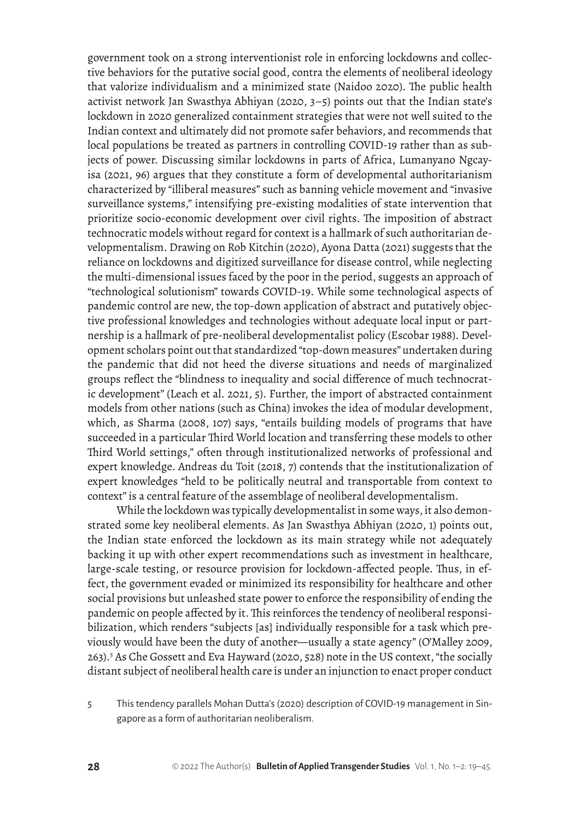government took on a strong interventionist role in enforcing lockdowns and collective behaviors for the putative social good, contra the elements of neoliberal ideology that valorize individualism and a minimized state (Naidoo 2020). The public health activist network Jan Swasthya Abhiyan (2020, 3–5) points out that the Indian state's lockdown in 2020 generalized containment strategies that were not well suited to the Indian context and ultimately did not promote safer behaviors, and recommends that local populations be treated as partners in controlling COVID-19 rather than as subjects of power. Discussing similar lockdowns in parts of Africa, Lumanyano Ngcayisa (2021, 96) argues that they constitute a form of developmental authoritarianism characterized by "illiberal measures" such as banning vehicle movement and "invasive surveillance systems," intensifying pre-existing modalities of state intervention that prioritize socio-economic development over civil rights. The imposition of abstract technocratic models without regard for context is a hallmark of such authoritarian developmentalism. Drawing on Rob Kitchin (2020), Ayona Datta (2021) suggests that the reliance on lockdowns and digitized surveillance for disease control, while neglecting the multi-dimensional issues faced by the poor in the period, suggests an approach of "technological solutionism" towards COVID-19. While some technological aspects of pandemic control are new, the top-down application of abstract and putatively objective professional knowledges and technologies without adequate local input or partnership is a hallmark of pre-neoliberal developmentalist policy (Escobar 1988). Development scholars point out that standardized "top-down measures" undertaken during the pandemic that did not heed the diverse situations and needs of marginalized groups reflect the "blindness to inequality and social difference of much technocratic development" (Leach et al. 2021, 5). Further, the import of abstracted containment models from other nations (such as China) invokes the idea of modular development, which, as Sharma (2008, 107) says, "entails building models of programs that have succeeded in a particular Third World location and transferring these models to other Third World settings," often through institutionalized networks of professional and expert knowledge. Andreas du Toit (2018, 7) contends that the institutionalization of expert knowledges "held to be politically neutral and transportable from context to context" is a central feature of the assemblage of neoliberal developmentalism.

While the lockdown was typically developmentalist in some ways, it also demonstrated some key neoliberal elements. As Jan Swasthya Abhiyan (2020, 1) points out, the Indian state enforced the lockdown as its main strategy while not adequately backing it up with other expert recommendations such as investment in healthcare, large-scale testing, or resource provision for lockdown-affected people. Thus, in effect, the government evaded or minimized its responsibility for healthcare and other social provisions but unleashed state power to enforce the responsibility of ending the pandemic on people affected by it. This reinforces the tendency of neoliberal responsibilization, which renders "subjects [as] individually responsible for a task which previously would have been the duty of another—usually a state agency" (O'Malley 2009, 263).<sup>5</sup> As Che Gossett and Eva Hayward (2020, 528) note in the US context, "the socially distant subject of neoliberal health care is under an injunction to enact proper conduct

5 This tendency parallels Mohan Dutta's (2020) description of COVID-19 management in Singapore as a form of authoritarian neoliberalism.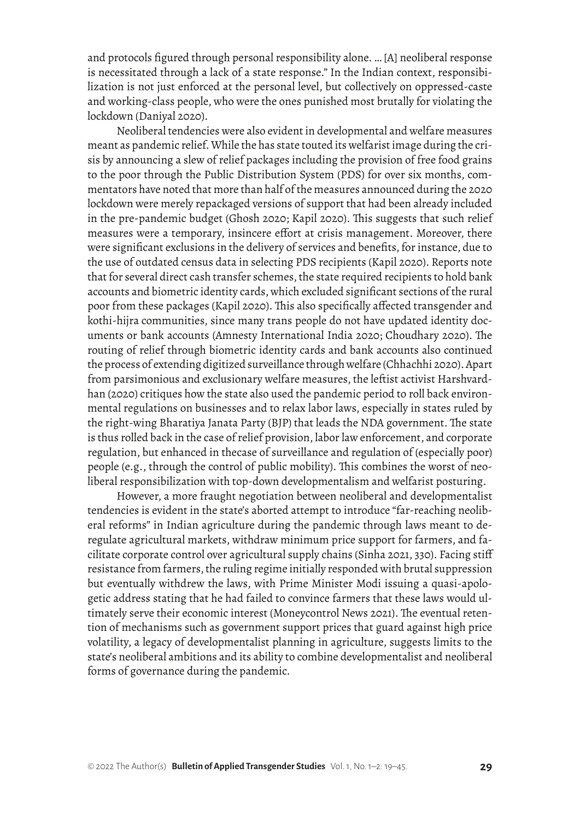and protocols figured through personal responsibility alone. … [A] neoliberal response is necessitated through a lack of a state response." In the Indian context, responsibilization is not just enforced at the personal level, but collectively on oppressed-caste and working-class people, who were the ones punished most brutally for violating the lockdown (Daniyal 2020).

Neoliberal tendencies were also evident in developmental and welfare measures meant as pandemic relief. While the has state touted its welfarist image during the crisis by announcing a slew of relief packages including the provision of free food grains to the poor through the Public Distribution System (PDS) for over six months, commentators have noted that more than half of the measures announced during the 2020 lockdown were merely repackaged versions of support that had been already included in the pre-pandemic budget (Ghosh 2020; Kapil 2020). This suggests that such relief measures were a temporary, insincere effort at crisis management. Moreover, there were significant exclusions in the delivery of services and benefits, for instance, due to the use of outdated census data in selecting PDS recipients (Kapil 2020). Reports note that for several direct cash transfer schemes, the state required recipients to hold bank accounts and biometric identity cards, which excluded significant sections of the rural poor from these packages (Kapil 2020). This also specifically affected transgender and kothi-hijra communities, since many trans people do not have updated identity documents or bank accounts (Amnesty International India 2020; Choudhary 2020). The routing of relief through biometric identity cards and bank accounts also continued the process of extending digitized surveillance through welfare (Chhachhi 2020). Apart from parsimonious and exclusionary welfare measures, the leftist activist Harshvardhan (2020) critiques how the state also used the pandemic period to roll back environmental regulations on businesses and to relax labor laws, especially in states ruled by the right-wing Bharatiya Janata Party (BJP) that leads the NDA government. The state is thus rolled back in the case of relief provision, labor law enforcement, and corporate regulation, but enhanced in thecase of surveillance and regulation of (especially poor) people (e.g., through the control of public mobility). This combines the worst of neoliberal responsibilization with top-down developmentalism and welfarist posturing.

However, a more fraught negotiation between neoliberal and developmentalist tendencies is evident in the state's aborted attempt to introduce "far-reaching neoliberal reforms" in Indian agriculture during the pandemic through laws meant to deregulate agricultural markets, withdraw minimum price support for farmers, and facilitate corporate control over agricultural supply chains (Sinha 2021, 330). Facing stiff resistance from farmers, the ruling regime initially responded with brutal suppression but eventually withdrew the laws, with Prime Minister Modi issuing a quasi-apologetic address stating that he had failed to convince farmers that these laws would ultimately serve their economic interest (Moneycontrol News 2021). The eventual retention of mechanisms such as government support prices that guard against high price volatility, a legacy of developmentalist planning in agriculture, suggests limits to the state's neoliberal ambitions and its ability to combine developmentalist and neoliberal forms of governance during the pandemic.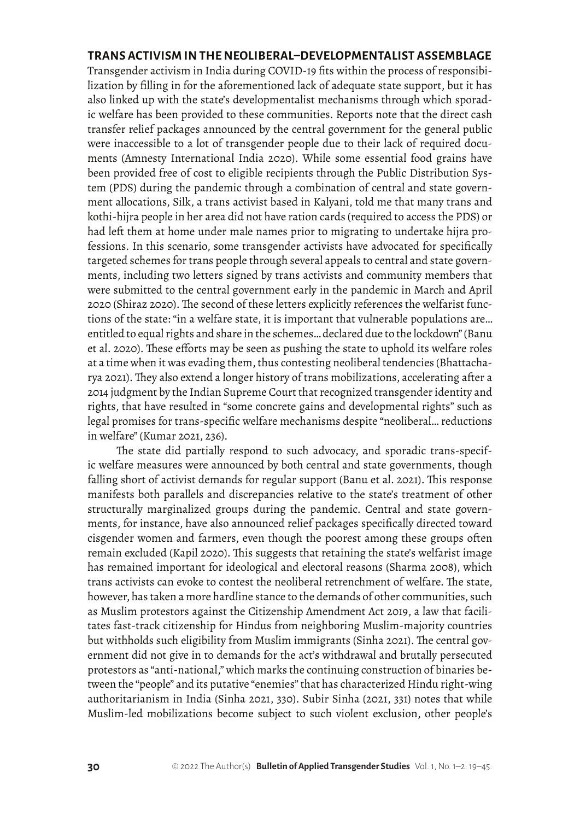#### **TRANS ACTIVISM IN THE NEOLIBERAL–DEVELOPMENTALIST ASSEMBLAGE**

Transgender activism in India during COVID-19 fits within the process of responsibilization by filling in for the aforementioned lack of adequate state support, but it has also linked up with the state's developmentalist mechanisms through which sporadic welfare has been provided to these communities. Reports note that the direct cash transfer relief packages announced by the central government for the general public were inaccessible to a lot of transgender people due to their lack of required documents (Amnesty International India 2020). While some essential food grains have been provided free of cost to eligible recipients through the Public Distribution System (PDS) during the pandemic through a combination of central and state government allocations, Silk, a trans activist based in Kalyani, told me that many trans and kothi-hijra people in her area did not have ration cards (required to access the PDS) or had left them at home under male names prior to migrating to undertake hijra professions. In this scenario, some transgender activists have advocated for specifically targeted schemes for trans people through several appeals to central and state governments, including two letters signed by trans activists and community members that were submitted to the central government early in the pandemic in March and April 2020 (Shiraz 2020). The second of these letters explicitly references the welfarist functions of the state: "in a welfare state, it is important that vulnerable populations are… entitled to equal rights and share in the schemes… declared due to the lockdown" (Banu et al. 2020). These efforts may be seen as pushing the state to uphold its welfare roles at a time when it was evading them, thus contesting neoliberal tendencies (Bhattacharya 2021). They also extend a longer history of trans mobilizations, accelerating after a 2014 judgment by the Indian Supreme Court that recognized transgender identity and rights, that have resulted in "some concrete gains and developmental rights" such as legal promises for trans-specific welfare mechanisms despite "neoliberal… reductions in welfare" (Kumar 2021, 236).

The state did partially respond to such advocacy, and sporadic trans-specific welfare measures were announced by both central and state governments, though falling short of activist demands for regular support (Banu et al. 2021). This response manifests both parallels and discrepancies relative to the state's treatment of other structurally marginalized groups during the pandemic. Central and state governments, for instance, have also announced relief packages specifically directed toward cisgender women and farmers, even though the poorest among these groups often remain excluded (Kapil 2020). This suggests that retaining the state's welfarist image has remained important for ideological and electoral reasons (Sharma 2008), which trans activists can evoke to contest the neoliberal retrenchment of welfare. The state, however, has taken a more hardline stance to the demands of other communities, such as Muslim protestors against the Citizenship Amendment Act 2019, a law that facilitates fast-track citizenship for Hindus from neighboring Muslim-majority countries but withholds such eligibility from Muslim immigrants (Sinha 2021). The central government did not give in to demands for the act's withdrawal and brutally persecuted protestors as "anti-national," which marks the continuing construction of binaries between the "people" and its putative "enemies" that has characterized Hindu right-wing authoritarianism in India (Sinha 2021, 330). Subir Sinha (2021, 331) notes that while Muslim-led mobilizations become subject to such violent exclusion, other people's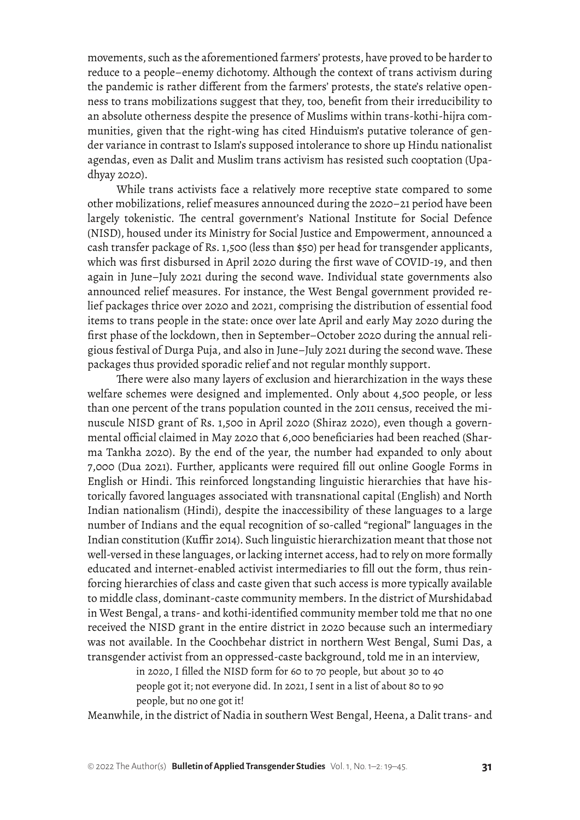movements, such as the aforementioned farmers' protests, have proved to be harder to reduce to a people–enemy dichotomy. Although the context of trans activism during the pandemic is rather different from the farmers' protests, the state's relative openness to trans mobilizations suggest that they, too, benefit from their irreducibility to an absolute otherness despite the presence of Muslims within trans-kothi-hijra communities, given that the right-wing has cited Hinduism's putative tolerance of gender variance in contrast to Islam's supposed intolerance to shore up Hindu nationalist agendas, even as Dalit and Muslim trans activism has resisted such cooptation (Upadhyay 2020).

While trans activists face a relatively more receptive state compared to some other mobilizations, relief measures announced during the 2020–21 period have been largely tokenistic. The central government's National Institute for Social Defence (NISD), housed under its Ministry for Social Justice and Empowerment, announced a cash transfer package of Rs. 1,500 (less than \$50) per head for transgender applicants, which was first disbursed in April 2020 during the first wave of COVID-19, and then again in June–July 2021 during the second wave. Individual state governments also announced relief measures. For instance, the West Bengal government provided relief packages thrice over 2020 and 2021, comprising the distribution of essential food items to trans people in the state: once over late April and early May 2020 during the first phase of the lockdown, then in September–October 2020 during the annual religious festival of Durga Puja, and also in June–July 2021 during the second wave. These packages thus provided sporadic relief and not regular monthly support.

There were also many layers of exclusion and hierarchization in the ways these welfare schemes were designed and implemented. Only about 4,500 people, or less than one percent of the trans population counted in the 2011 census, received the minuscule NISD grant of Rs. 1,500 in April 2020 (Shiraz 2020), even though a governmental official claimed in May 2020 that 6,000 beneficiaries had been reached (Sharma Tankha 2020). By the end of the year, the number had expanded to only about 7,000 (Dua 2021). Further, applicants were required fill out online Google Forms in English or Hindi. This reinforced longstanding linguistic hierarchies that have historically favored languages associated with transnational capital (English) and North Indian nationalism (Hindi), despite the inaccessibility of these languages to a large number of Indians and the equal recognition of so-called "regional" languages in the Indian constitution (Kuffir 2014). Such linguistic hierarchization meant that those not well-versed in these languages, or lacking internet access, had to rely on more formally educated and internet-enabled activist intermediaries to fill out the form, thus reinforcing hierarchies of class and caste given that such access is more typically available to middle class, dominant-caste community members. In the district of Murshidabad in West Bengal, a trans- and kothi*-*identified community member told me that no one received the NISD grant in the entire district in 2020 because such an intermediary was not available. In the Coochbehar district in northern West Bengal, Sumi Das, a transgender activist from an oppressed-caste background, told me in an interview,

> in 2020, I filled the NISD form for 60 to 70 people, but about 30 to 40 people got it; not everyone did. In 2021, I sent in a list of about 80 to 90 people, but no one got it!

Meanwhile, in the district of Nadia in southern West Bengal, Heena, a Dalit trans- and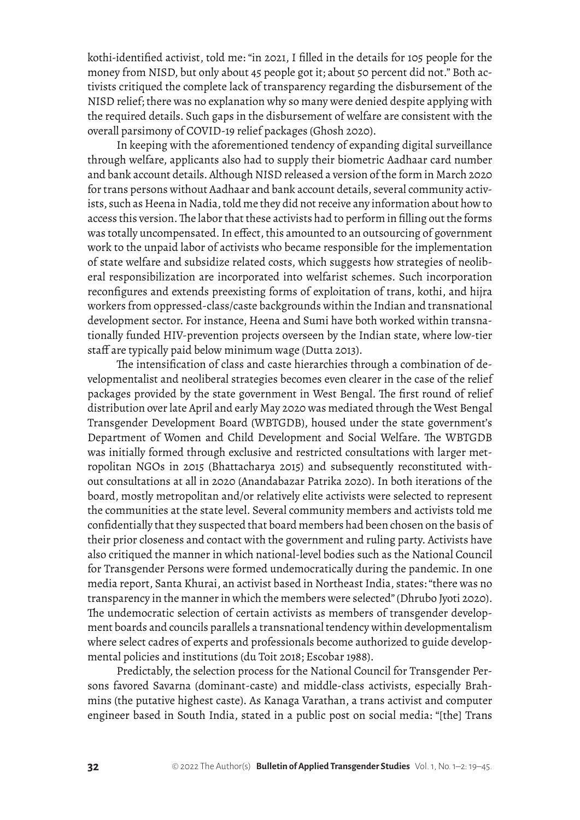kothi*-*identified activist, told me: "in 2021, I filled in the details for 105 people for the money from NISD, but only about 45 people got it; about 50 percent did not." Both activists critiqued the complete lack of transparency regarding the disbursement of the NISD relief; there was no explanation why so many were denied despite applying with the required details. Such gaps in the disbursement of welfare are consistent with the overall parsimony of COVID-19 relief packages (Ghosh 2020).

In keeping with the aforementioned tendency of expanding digital surveillance through welfare, applicants also had to supply their biometric Aadhaar card number and bank account details. Although NISD released a version of the form in March 2020 for trans persons without Aadhaar and bank account details, several community activists, such as Heena in Nadia, told me they did not receive any information about how to access this version. The labor that these activists had to perform in filling out the forms was totally uncompensated. In effect, this amounted to an outsourcing of government work to the unpaid labor of activists who became responsible for the implementation of state welfare and subsidize related costs, which suggests how strategies of neoliberal responsibilization are incorporated into welfarist schemes. Such incorporation reconfigures and extends preexisting forms of exploitation of trans, kothi, and hijra workers from oppressed-class/caste backgrounds within the Indian and transnational development sector. For instance, Heena and Sumi have both worked within transnationally funded HIV-prevention projects overseen by the Indian state, where low-tier staff are typically paid below minimum wage (Dutta 2013).

The intensification of class and caste hierarchies through a combination of developmentalist and neoliberal strategies becomes even clearer in the case of the relief packages provided by the state government in West Bengal. The first round of relief distribution over late April and early May 2020 was mediated through the West Bengal Transgender Development Board (WBTGDB), housed under the state government's Department of Women and Child Development and Social Welfare. The WBTGDB was initially formed through exclusive and restricted consultations with larger metropolitan NGOs in 2015 (Bhattacharya 2015) and subsequently reconstituted without consultations at all in 2020 (Anandabazar Patrika 2020). In both iterations of the board, mostly metropolitan and/or relatively elite activists were selected to represent the communities at the state level. Several community members and activists told me confidentially that they suspected that board members had been chosen on the basis of their prior closeness and contact with the government and ruling party. Activists have also critiqued the manner in which national-level bodies such as the National Council for Transgender Persons were formed undemocratically during the pandemic. In one media report, Santa Khurai, an activist based in Northeast India, states: "there was no transparency in the manner in which the members were selected" (Dhrubo Jyoti 2020). The undemocratic selection of certain activists as members of transgender development boards and councils parallels a transnational tendency within developmentalism where select cadres of experts and professionals become authorized to guide developmental policies and institutions (du Toit 2018; Escobar 1988).

Predictably, the selection process for the National Council for Transgender Persons favored Savarna (dominant-caste) and middle-class activists, especially Brahmins (the putative highest caste). As Kanaga Varathan, a trans activist and computer engineer based in South India, stated in a public post on social media: "[the] Trans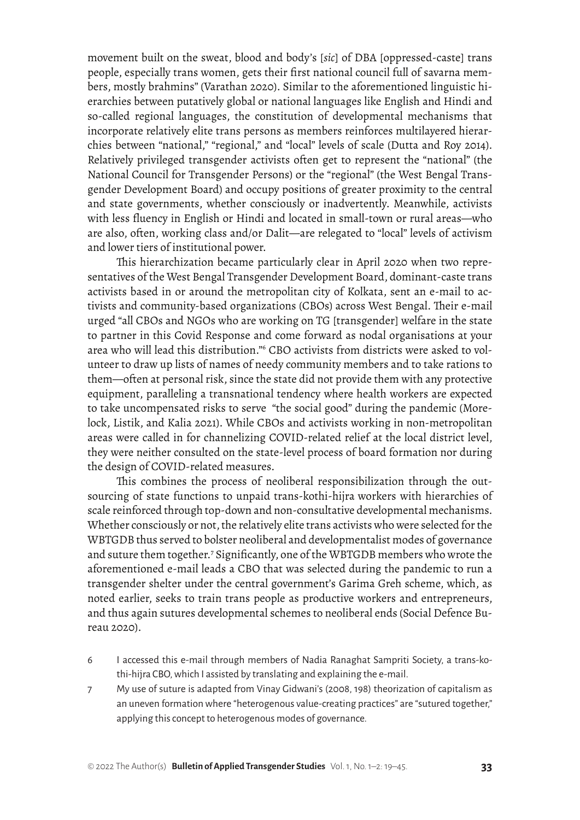movement built on the sweat, blood and body's [*sic*] of DBA [oppressed-caste] trans people, especially trans women, gets their first national council full of savarna members, mostly brahmins" (Varathan 2020). Similar to the aforementioned linguistic hierarchies between putatively global or national languages like English and Hindi and so-called regional languages, the constitution of developmental mechanisms that incorporate relatively elite trans persons as members reinforces multilayered hierarchies between "national," "regional," and "local" levels of scale (Dutta and Roy 2014). Relatively privileged transgender activists often get to represent the "national" (the National Council for Transgender Persons) or the "regional" (the West Bengal Transgender Development Board) and occupy positions of greater proximity to the central and state governments, whether consciously or inadvertently. Meanwhile, activists with less fluency in English or Hindi and located in small-town or rural areas—who are also, often, working class and/or Dalit—are relegated to "local" levels of activism and lower tiers of institutional power.

This hierarchization became particularly clear in April 2020 when two representatives of the West Bengal Transgender Development Board, dominant-caste trans activists based in or around the metropolitan city of Kolkata, sent an e-mail to activists and community-based organizations (CBOs) across West Bengal. Their e-mail urged "all CBOs and NGOs who are working on TG [transgender] welfare in the state to partner in this Covid Response and come forward as nodal organisations at your area who will lead this distribution."<sup>6</sup> CBO activists from districts were asked to volunteer to draw up lists of names of needy community members and to take rations to them—often at personal risk, since the state did not provide them with any protective equipment, paralleling a transnational tendency where health workers are expected to take uncompensated risks to serve "the social good" during the pandemic (Morelock, Listik, and Kalia 2021). While CBOs and activists working in non-metropolitan areas were called in for channelizing COVID-related relief at the local district level, they were neither consulted on the state-level process of board formation nor during the design of COVID-related measures.

This combines the process of neoliberal responsibilization through the outsourcing of state functions to unpaid trans-kothi-hijra workers with hierarchies of scale reinforced through top-down and non-consultative developmental mechanisms. Whether consciously or not, the relatively elite trans activists who were selected for the WBTGDB thus served to bolster neoliberal and developmentalist modes of governance and suture them together.<sup>7</sup> Significantly, one of the WBTGDB members who wrote the aforementioned e-mail leads a CBO that was selected during the pandemic to run a transgender shelter under the central government's Garima Greh scheme, which, as noted earlier, seeks to train trans people as productive workers and entrepreneurs, and thus again sutures developmental schemes to neoliberal ends (Social Defence Bureau 2020).

- 6 I accessed this e-mail through members of Nadia Ranaghat Sampriti Society, a trans-kothi-hijra CBO, which I assisted by translating and explaining the e-mail.
- 7 My use of suture is adapted from Vinay Gidwani's (2008, 198) theorization of capitalism as an uneven formation where "heterogenous value-creating practices" are "sutured together," applying this concept to heterogenous modes of governance.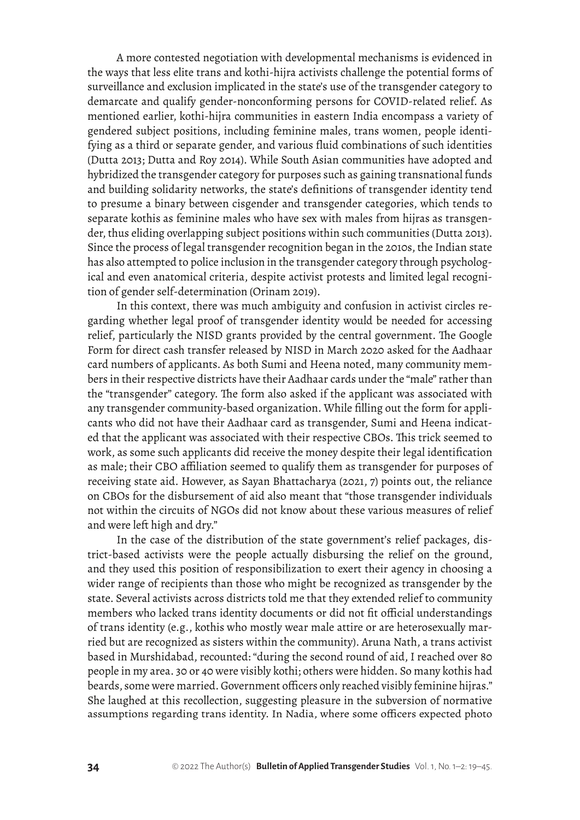A more contested negotiation with developmental mechanisms is evidenced in the ways that less elite trans and kothi-hijra activists challenge the potential forms of surveillance and exclusion implicated in the state's use of the transgender category to demarcate and qualify gender-nonconforming persons for COVID-related relief. As mentioned earlier, kothi-hijra communities in eastern India encompass a variety of gendered subject positions, including feminine males, trans women, people identifying as a third or separate gender, and various fluid combinations of such identities (Dutta 2013; Dutta and Roy 2014). While South Asian communities have adopted and hybridized the transgender category for purposes such as gaining transnational funds and building solidarity networks, the state's definitions of transgender identity tend to presume a binary between cisgender and transgender categories, which tends to separate kothis as feminine males who have sex with males from hijras as transgender, thus eliding overlapping subject positions within such communities (Dutta 2013). Since the process of legal transgender recognition began in the 2010s, the Indian state has also attempted to police inclusion in the transgender category through psychological and even anatomical criteria, despite activist protests and limited legal recognition of gender self-determination (Orinam 2019).

In this context, there was much ambiguity and confusion in activist circles regarding whether legal proof of transgender identity would be needed for accessing relief, particularly the NISD grants provided by the central government. The Google Form for direct cash transfer released by NISD in March 2020 asked for the Aadhaar card numbers of applicants. As both Sumi and Heena noted, many community members in their respective districts have their Aadhaar cards under the "male" rather than the "transgender" category. The form also asked if the applicant was associated with any transgender community-based organization. While filling out the form for applicants who did not have their Aadhaar card as transgender, Sumi and Heena indicated that the applicant was associated with their respective CBOs. This trick seemed to work, as some such applicants did receive the money despite their legal identification as male; their CBO affiliation seemed to qualify them as transgender for purposes of receiving state aid. However, as Sayan Bhattacharya (2021, 7) points out, the reliance on CBOs for the disbursement of aid also meant that "those transgender individuals not within the circuits of NGOs did not know about these various measures of relief and were left high and dry."

In the case of the distribution of the state government's relief packages, district-based activists were the people actually disbursing the relief on the ground, and they used this position of responsibilization to exert their agency in choosing a wider range of recipients than those who might be recognized as transgender by the state. Several activists across districts told me that they extended relief to community members who lacked trans identity documents or did not fit official understandings of trans identity (e.g., kothis who mostly wear male attire or are heterosexually married but are recognized as sisters within the community). Aruna Nath, a trans activist based in Murshidabad, recounted: "during the second round of aid, I reached over 80 people in my area. 30 or 40 were visibly kothi; others were hidden. So many kothis had beards, some were married. Government officers only reached visibly feminine hijras." She laughed at this recollection, suggesting pleasure in the subversion of normative assumptions regarding trans identity. In Nadia, where some officers expected photo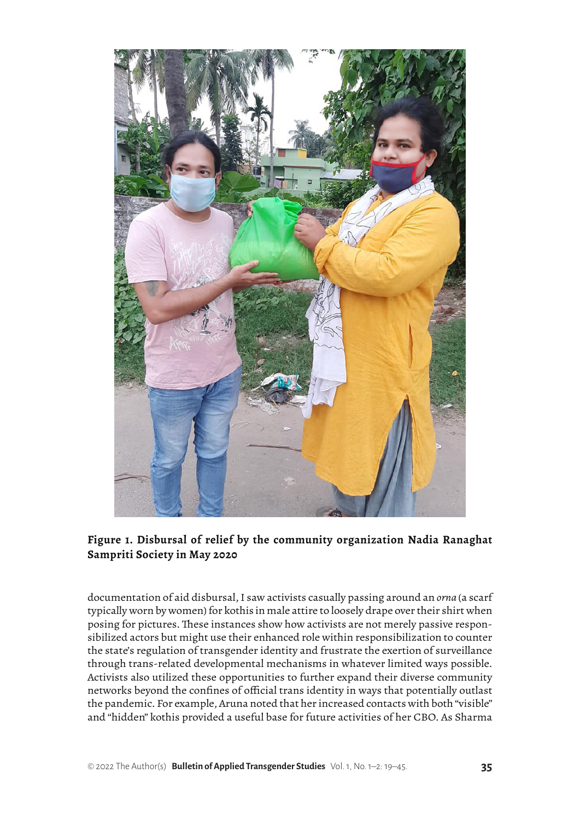

**Figure 1. Disbursal of relief by the community organization Nadia Ranaghat Sampriti Society in May 2020**

documentation of aid disbursal, I saw activists casually passing around an *orna* (a scarf typically worn by women) for kothis in male attire to loosely drape over their shirt when posing for pictures. These instances show how activists are not merely passive responsibilized actors but might use their enhanced role within responsibilization to counter the state's regulation of transgender identity and frustrate the exertion of surveillance through trans-related developmental mechanisms in whatever limited ways possible. Activists also utilized these opportunities to further expand their diverse community networks beyond the confines of official trans identity in ways that potentially outlast the pandemic. For example, Aruna noted that her increased contacts with both "visible" and "hidden" kothis provided a useful base for future activities of her CBO. As Sharma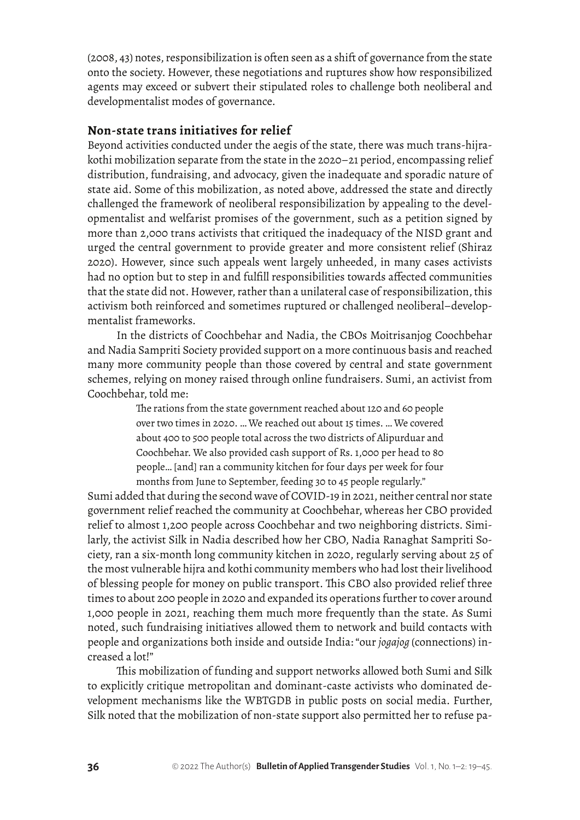(2008, 43) notes, responsibilization is often seen as a shift of governance from the state onto the society. However, these negotiations and ruptures show how responsibilized agents may exceed or subvert their stipulated roles to challenge both neoliberal and developmentalist modes of governance.

#### **Non-state trans initiatives for relief**

Beyond activities conducted under the aegis of the state, there was much trans-hijrakothi mobilization separate from the state in the 2020–21 period, encompassing relief distribution, fundraising, and advocacy, given the inadequate and sporadic nature of state aid. Some of this mobilization, as noted above, addressed the state and directly challenged the framework of neoliberal responsibilization by appealing to the developmentalist and welfarist promises of the government, such as a petition signed by more than 2,000 trans activists that critiqued the inadequacy of the NISD grant and urged the central government to provide greater and more consistent relief (Shiraz 2020). However, since such appeals went largely unheeded, in many cases activists had no option but to step in and fulfill responsibilities towards affected communities that the state did not. However, rather than a unilateral case of responsibilization, this activism both reinforced and sometimes ruptured or challenged neoliberal–developmentalist frameworks.

In the districts of Coochbehar and Nadia, the CBOs Moitrisanjog Coochbehar and Nadia Sampriti Society provided support on a more continuous basis and reached many more community people than those covered by central and state government schemes, relying on money raised through online fundraisers. Sumi, an activist from Coochbehar, told me:

> The rations from the state government reached about 120 and 60 people over two times in 2020. … We reached out about 15 times. … We covered about 400 to 500 people total across the two districts of Alipurduar and Coochbehar. We also provided cash support of Rs. 1,000 per head to 80 people… [and] ran a community kitchen for four days per week for four months from June to September, feeding 30 to 45 people regularly."

Sumi added that during the second wave of COVID-19 in 2021, neither central nor state government relief reached the community at Coochbehar, whereas her CBO provided relief to almost 1,200 people across Coochbehar and two neighboring districts. Similarly, the activist Silk in Nadia described how her CBO, Nadia Ranaghat Sampriti Society, ran a six-month long community kitchen in 2020, regularly serving about 25 of the most vulnerable hijra and kothi community members who had lost their livelihood of blessing people for money on public transport. This CBO also provided relief three times to about 200 people in 2020 and expanded its operations further to cover around 1,000 people in 2021, reaching them much more frequently than the state. As Sumi noted, such fundraising initiatives allowed them to network and build contacts with people and organizations both inside and outside India: "our *jogajog* (connections) increased a lot!"

This mobilization of funding and support networks allowed both Sumi and Silk to explicitly critique metropolitan and dominant-caste activists who dominated development mechanisms like the WBTGDB in public posts on social media. Further, Silk noted that the mobilization of non-state support also permitted her to refuse pa-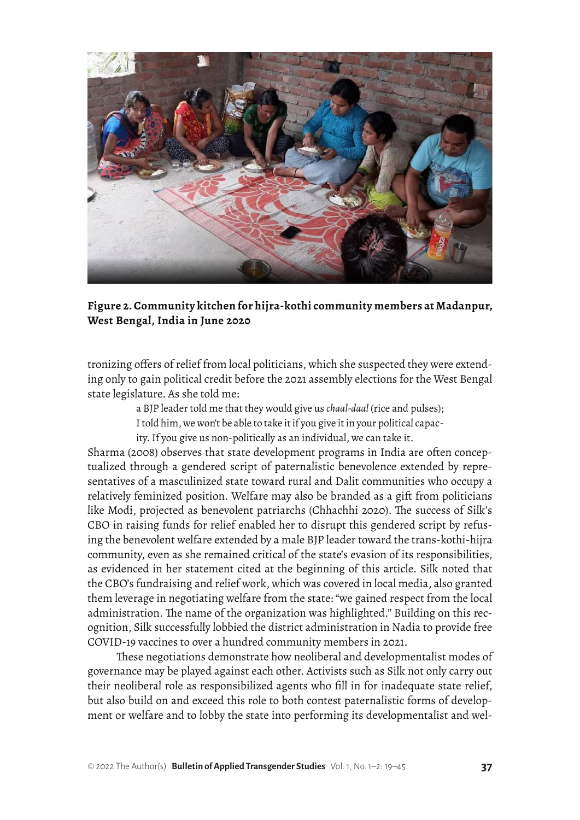

**Figure 2. Community kitchen for hijra-kothi community members at Madanpur, West Bengal, India in June 2020**

tronizing offers of relief from local politicians, which she suspected they were extending only to gain political credit before the 2021 assembly elections for the West Bengal state legislature. As she told me:

a BJP leader told me that they would give us *chaal-daal* (rice and pulses);

I told him, we won't be able to take it if you give it in your political capac-

ity. If you give us non-politically as an individual, we can take it.

Sharma (2008) observes that state development programs in India are often conceptualized through a gendered script of paternalistic benevolence extended by representatives of a masculinized state toward rural and Dalit communities who occupy a relatively feminized position. Welfare may also be branded as a gift from politicians like Modi, projected as benevolent patriarchs (Chhachhi 2020). The success of Silk's CBO in raising funds for relief enabled her to disrupt this gendered script by refusing the benevolent welfare extended by a male BJP leader toward the trans-kothi-hijra community, even as she remained critical of the state's evasion of its responsibilities, as evidenced in her statement cited at the beginning of this article. Silk noted that the CBO's fundraising and relief work, which was covered in local media, also granted them leverage in negotiating welfare from the state: "we gained respect from the local administration. The name of the organization was highlighted." Building on this recognition, Silk successfully lobbied the district administration in Nadia to provide free COVID-19 vaccines to over a hundred community members in 2021.

These negotiations demonstrate how neoliberal and developmentalist modes of governance may be played against each other. Activists such as Silk not only carry out their neoliberal role as responsibilized agents who fill in for inadequate state relief, but also build on and exceed this role to both contest paternalistic forms of development or welfare and to lobby the state into performing its developmentalist and wel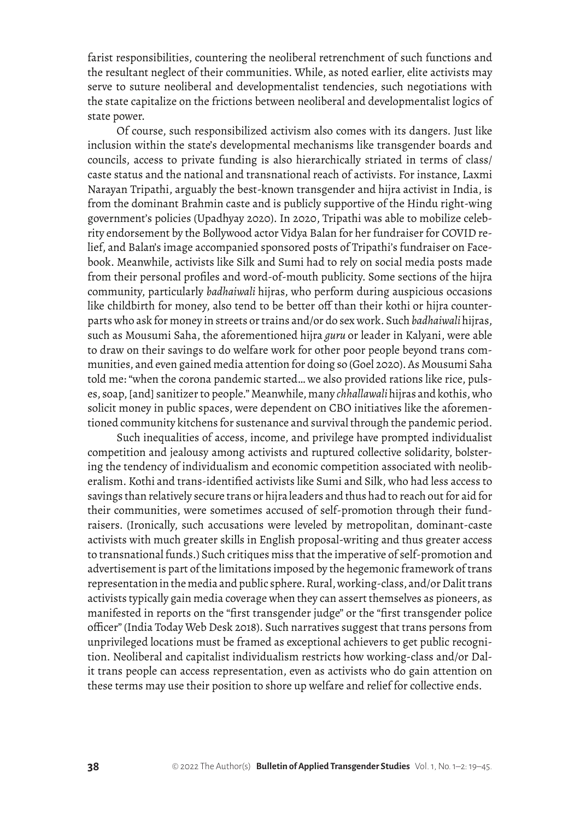farist responsibilities, countering the neoliberal retrenchment of such functions and the resultant neglect of their communities. While, as noted earlier, elite activists may serve to suture neoliberal and developmentalist tendencies, such negotiations with the state capitalize on the frictions between neoliberal and developmentalist logics of state power.

Of course, such responsibilized activism also comes with its dangers. Just like inclusion within the state's developmental mechanisms like transgender boards and councils, access to private funding is also hierarchically striated in terms of class/ caste status and the national and transnational reach of activists. For instance, Laxmi Narayan Tripathi, arguably the best-known transgender and hijra activist in India, is from the dominant Brahmin caste and is publicly supportive of the Hindu right-wing government's policies (Upadhyay 2020). In 2020, Tripathi was able to mobilize celebrity endorsement by the Bollywood actor Vidya Balan for her fundraiser for COVID relief, and Balan's image accompanied sponsored posts of Tripathi's fundraiser on Facebook. Meanwhile, activists like Silk and Sumi had to rely on social media posts made from their personal profiles and word-of-mouth publicity. Some sections of the hijra community, particularly *badhaiwali* hijras, who perform during auspicious occasions like childbirth for money, also tend to be better off than their kothi or hijra counterparts who ask for money in streets or trains and/or do sex work. Such *badhaiwali* hijras, such as Mousumi Saha, the aforementioned hijra *guru* or leader in Kalyani, were able to draw on their savings to do welfare work for other poor people beyond trans communities, and even gained media attention for doing so (Goel 2020). As Mousumi Saha told me: "when the corona pandemic started… we also provided rations like rice, pulses, soap, [and] sanitizer to people." Meanwhile, many *chhallawali* hijras and kothis, who solicit money in public spaces, were dependent on CBO initiatives like the aforementioned community kitchens for sustenance and survival through the pandemic period.

Such inequalities of access, income, and privilege have prompted individualist competition and jealousy among activists and ruptured collective solidarity, bolstering the tendency of individualism and economic competition associated with neoliberalism. Kothi and trans-identified activists like Sumi and Silk, who had less access to savings than relatively secure trans or hijra leaders and thus had to reach out for aid for their communities, were sometimes accused of self-promotion through their fundraisers. (Ironically, such accusations were leveled by metropolitan, dominant-caste activists with much greater skills in English proposal-writing and thus greater access to transnational funds.) Such critiques miss that the imperative of self-promotion and advertisement is part of the limitations imposed by the hegemonic framework of trans representation in the media and public sphere. Rural, working-class, and/or Dalit trans activists typically gain media coverage when they can assert themselves as pioneers, as manifested in reports on the "first transgender judge" or the "first transgender police officer" (India Today Web Desk 2018). Such narratives suggest that trans persons from unprivileged locations must be framed as exceptional achievers to get public recognition. Neoliberal and capitalist individualism restricts how working-class and/or Dalit trans people can access representation, even as activists who do gain attention on these terms may use their position to shore up welfare and relief for collective ends.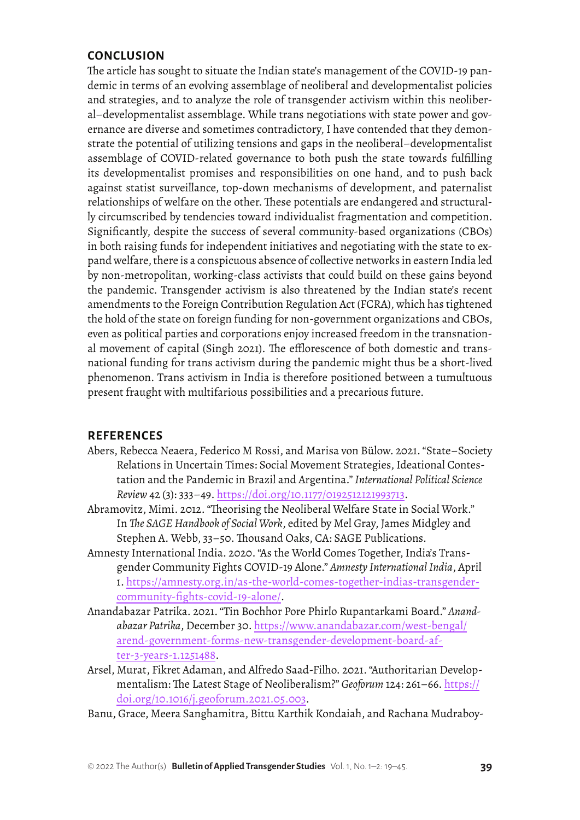## **CONCLUSION**

The article has sought to situate the Indian state's management of the COVID-19 pandemic in terms of an evolving assemblage of neoliberal and developmentalist policies and strategies, and to analyze the role of transgender activism within this neoliberal–developmentalist assemblage. While trans negotiations with state power and governance are diverse and sometimes contradictory, I have contended that they demonstrate the potential of utilizing tensions and gaps in the neoliberal–developmentalist assemblage of COVID-related governance to both push the state towards fulfilling its developmentalist promises and responsibilities on one hand, and to push back against statist surveillance, top-down mechanisms of development, and paternalist relationships of welfare on the other. These potentials are endangered and structurally circumscribed by tendencies toward individualist fragmentation and competition. Significantly, despite the success of several community-based organizations (CBOs) in both raising funds for independent initiatives and negotiating with the state to expand welfare, there is a conspicuous absence of collective networks in eastern India led by non-metropolitan, working-class activists that could build on these gains beyond the pandemic. Transgender activism is also threatened by the Indian state's recent amendments to the Foreign Contribution Regulation Act (FCRA), which has tightened the hold of the state on foreign funding for non-government organizations and CBOs, even as political parties and corporations enjoy increased freedom in the transnational movement of capital (Singh 2021). The efflorescence of both domestic and transnational funding for trans activism during the pandemic might thus be a short-lived phenomenon. Trans activism in India is therefore positioned between a tumultuous present fraught with multifarious possibilities and a precarious future.

## **REFERENCES**

- Abers, Rebecca Neaera, Federico M Rossi, and Marisa von Bülow. 2021. "State–Society Relations in Uncertain Times: Social Movement Strategies, Ideational Contestation and the Pandemic in Brazil and Argentina." *International Political Science Review* 42 (3): 333–49. <https://doi.org/10.1177/0192512121993713>.
- Abramovitz, Mimi. 2012. "Theorising the Neoliberal Welfare State in Social Work." In *The SAGE Handbook of Social Work*, edited by Mel Gray, James Midgley and Stephen A. Webb, 33–50. Thousand Oaks, CA: SAGE Publications.
- Amnesty International India. 2020. "As the World Comes Together, India's Transgender Community Fights COVID-19 Alone." *Amnesty International India*, April 1. [https://amnesty.org.in/as-the-world-comes-together-indias-transgender](https://amnesty.org.in/as-the-world-comes-together-indias-transgender-community-fights-covid-19-alone/)[community-fights-covid-19-alone/](https://amnesty.org.in/as-the-world-comes-together-indias-transgender-community-fights-covid-19-alone/).
- Anandabazar Patrika. 2021. "Tin Bochhor Pore Phirlo Rupantarkami Board." *Anandabazar Patrika*, December 30. [https://www.anandabazar.com/west-bengal/](https://www.anandabazar.com/west-bengal/arend-government-forms-new-transgender-development-board-after-3-years-1.1251488) [arend-government-forms-new-transgender-development-board-af](https://www.anandabazar.com/west-bengal/arend-government-forms-new-transgender-development-board-after-3-years-1.1251488)[ter-3-years-1.1251488](https://www.anandabazar.com/west-bengal/arend-government-forms-new-transgender-development-board-after-3-years-1.1251488).
- Arsel, Murat, Fikret Adaman, and Alfredo Saad-Filho. 2021. "Authoritarian Developmentalism: The Latest Stage of Neoliberalism?" *Geoforum* 124: 261–66. [https://](https://doi.org/10.1016/j.geoforum.2021.05.003) [doi.org/10.1016/j.geoforum.2021.05.003](https://doi.org/10.1016/j.geoforum.2021.05.003).
- Banu, Grace, Meera Sanghamitra, Bittu Karthik Kondaiah, and Rachana Mudraboy-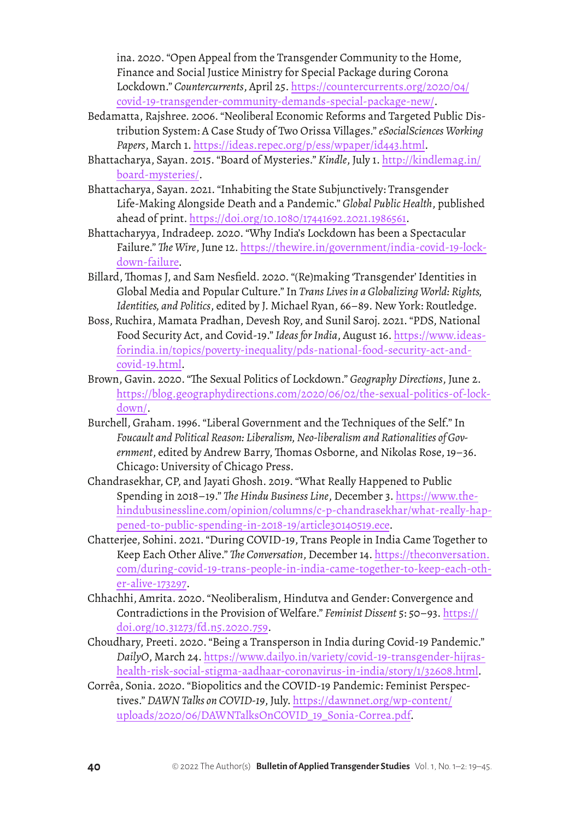ina. 2020. "Open Appeal from the Transgender Community to the Home, Finance and Social Justice Ministry for Special Package during Corona Lockdown." *Countercurrents*, April 25. [https://countercurrents.org/2020/04/](https://countercurrents.org/2020/04/covid-19-transgender-community-demands-special-package-new/) [covid-19-transgender-community-demands-special-package-new/](https://countercurrents.org/2020/04/covid-19-transgender-community-demands-special-package-new/).

- Bedamatta, Rajshree. 2006. "Neoliberal Economic Reforms and Targeted Public Distribution System: A Case Study of Two Orissa Villages." *eSocialSciences Working Papers*, March 1. <https://ideas.repec.org/p/ess/wpaper/id443.html>.
- Bhattacharya, Sayan. 2015. "Board of Mysteries." *Kindle*, July 1. [http://kindlemag.in/](http://kindlemag.in/board-mysteries/) [board-mysteries/](http://kindlemag.in/board-mysteries/).
- Bhattacharya, Sayan. 2021. "Inhabiting the State Subjunctively: Transgender Life-Making Alongside Death and a Pandemic." *Global Public Health*, published ahead of print. <https://doi.org/10.1080/17441692.2021.1986561>.
- Bhattacharyya, Indradeep. 2020. "Why India's Lockdown has been a Spectacular Failure." *The Wire*, June 12. [https://thewire.in/government/india-covid-19-lock](https://thewire.in/government/india-covid-19-lockdown-failure)[down-failure](https://thewire.in/government/india-covid-19-lockdown-failure).
- Billard, Thomas J, and Sam Nesfield. 2020. "(Re)making 'Transgender' Identities in Global Media and Popular Culture." In *Trans Lives in a Globalizing World: Rights, Identities, and Politics*, edited by J. Michael Ryan, 66–89. New York: Routledge.
- Boss, Ruchira, Mamata Pradhan, Devesh Roy, and Sunil Saroj. 2021. "PDS, National Food Security Act, and Covid-19." *Ideas for India*, August 16. [https://www.ideas](https://www.ideasforindia.in/topics/poverty-inequality/pds-national-food-security-act-and-covid-19.html)[forindia.in/topics/poverty-inequality/pds-national-food-security-act-and](https://www.ideasforindia.in/topics/poverty-inequality/pds-national-food-security-act-and-covid-19.html)[covid-19.html](https://www.ideasforindia.in/topics/poverty-inequality/pds-national-food-security-act-and-covid-19.html).
- Brown, Gavin. 2020. "The Sexual Politics of Lockdown." *Geography Directions*, June 2. [https://blog.geographydirections.com/2020/06/02/the-sexual-politics-of-lock](https://blog.geographydirections.com/2020/06/02/the-sexual-politics-of-lockdown/)[down/](https://blog.geographydirections.com/2020/06/02/the-sexual-politics-of-lockdown/).
- Burchell, Graham. 1996. "Liberal Government and the Techniques of the Self." In *Foucault and Political Reason: Liberalism, Neo-liberalism and Rationalities of Government*, edited by Andrew Barry, Thomas Osborne, and Nikolas Rose, 19–36. Chicago: University of Chicago Press.
- Chandrasekhar, CP, and Jayati Ghosh. 2019. "What Really Happened to Public Spending in 2018–19." *The Hindu Business Line*, December 3. [https://www.the](https://www.thehindubusinessline.com/opinion/columns/c-p-chandrasekhar/what-really-happened-to-public-spending-in-2018-19/article30140519.ece)[hindubusinessline.com/opinion/columns/c-p-chandrasekhar/what-really-hap](https://www.thehindubusinessline.com/opinion/columns/c-p-chandrasekhar/what-really-happened-to-public-spending-in-2018-19/article30140519.ece)[pened-to-public-spending-in-2018-19/article30140519.ece](https://www.thehindubusinessline.com/opinion/columns/c-p-chandrasekhar/what-really-happened-to-public-spending-in-2018-19/article30140519.ece).
- Chatterjee, Sohini. 2021. "During COVID-19, Trans People in India Came Together to Keep Each Other Alive." *The Conversation*, December 14. [https://theconversation.](https://theconversation.com/during-covid-19-trans-people-in-india-came-together-to-keep-each-other-alive-173297) [com/during-covid-19-trans-people-in-india-came-together-to-keep-each-oth](https://theconversation.com/during-covid-19-trans-people-in-india-came-together-to-keep-each-other-alive-173297)[er-alive-173297](https://theconversation.com/during-covid-19-trans-people-in-india-came-together-to-keep-each-other-alive-173297).
- Chhachhi, Amrita. 2020. "Neoliberalism, Hindutva and Gender: Convergence and Contradictions in the Provision of Welfare." *Feminist Dissent* 5: 50–93. [https://](https://doi.org/10.31273/fd.n5.2020.759) [doi.org/10.31273/fd.n5.2020.759](https://doi.org/10.31273/fd.n5.2020.759).
- Choudhary, Preeti. 2020. "Being a Transperson in India during Covid-19 Pandemic." *DailyO*, March 24. [https://www.dailyo.in/variety/covid-19-transgender-hijras](https://www.dailyo.in/variety/covid-19-transgender-hijras-health-risk-social-stigma-aadhaar-coronavirus-in-india/story/1/32608.html)[health-risk-social-stigma-aadhaar-coronavirus-in-india/story/1/32608.html](https://www.dailyo.in/variety/covid-19-transgender-hijras-health-risk-social-stigma-aadhaar-coronavirus-in-india/story/1/32608.html).
- Corrêa, Sonia. 2020. "Biopolitics and the COVID-19 Pandemic: Feminist Perspectives." *DAWN Talks on COVID-19*, July. [https://dawnnet.org/wp-content/](https://dawnnet.org/wp-content/uploads/2020/06/DAWNTalksOnCOVID_19_Sonia-Correa.pdf) [uploads/2020/06/DAWNTalksOnCOVID\\_19\\_Sonia-Correa.pdf](https://dawnnet.org/wp-content/uploads/2020/06/DAWNTalksOnCOVID_19_Sonia-Correa.pdf).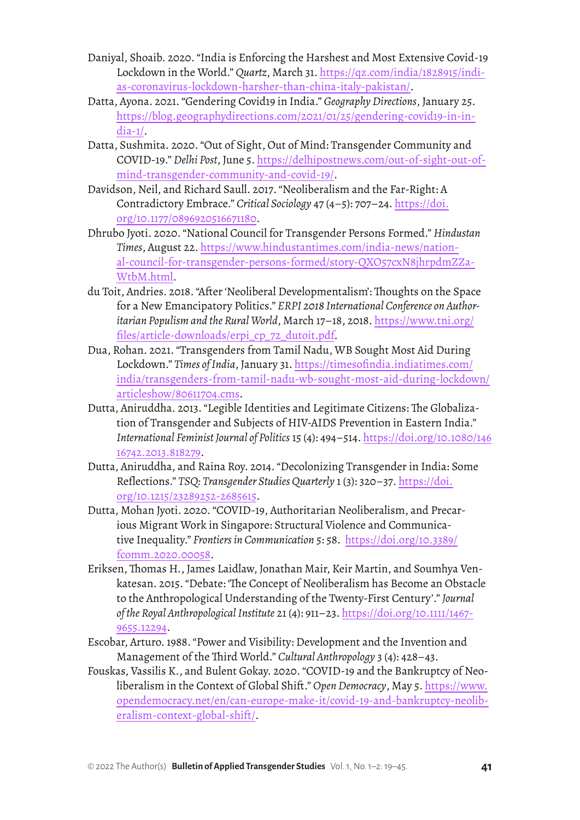- Daniyal, Shoaib. 2020. "India is Enforcing the Harshest and Most Extensive Covid-19 Lockdown in the World." *Quartz*, March 31. [https://qz.com/india/1828915/indi](https://qz.com/india/1828915/indias-coronavirus-lockdown-harsher-than-china-italy-pakistan/)[as-coronavirus-lockdown-harsher-than-china-italy-pakistan/](https://qz.com/india/1828915/indias-coronavirus-lockdown-harsher-than-china-italy-pakistan/).
- Datta, Ayona. 2021. "Gendering Covid19 in India." *Geography Directions*, January 25. [https://blog.geographydirections.com/2021/01/25/gendering-covid19-in-in](https://blog.geographydirections.com/2021/01/25/gendering-covid19-in-india-1/)[dia-1/.](https://blog.geographydirections.com/2021/01/25/gendering-covid19-in-india-1/)
- Datta, Sushmita. 2020. "Out of Sight, Out of Mind: Transgender Community and COVID-19." *Delhi Post*, June 5. [https://delhipostnews.com/out-of-sight-out-of](https://delhipostnews.com/out-of-sight-out-of-mind-transgender-community-and-covid-19/)[mind-transgender-community-and-covid-19/](https://delhipostnews.com/out-of-sight-out-of-mind-transgender-community-and-covid-19/).
- Davidson, Neil, and Richard Saull. 2017. "Neoliberalism and the Far-Right: A Contradictory Embrace." *Critical Sociology* 47 (4–5): 707–24. [https://doi.](https://doi.org/10.1177%2F0896920516671180) [org/10.1177/0896920516671180](https://doi.org/10.1177%2F0896920516671180).
- Dhrubo Jyoti. 2020. "National Council for Transgender Persons Formed." *Hindustan Times*, August 22. [https://www.hindustantimes.com/india-news/nation](https://www.hindustantimes.com/india-news/national-council-for-transgender-persons-formed/story-QXO57cxN8jhrpdmZZaWtbM.html)[al-council-for-transgender-persons-formed/story-QXO57cxN8jhrpdmZZa](https://www.hindustantimes.com/india-news/national-council-for-transgender-persons-formed/story-QXO57cxN8jhrpdmZZaWtbM.html)-[WtbM.html.](https://www.hindustantimes.com/india-news/national-council-for-transgender-persons-formed/story-QXO57cxN8jhrpdmZZaWtbM.html)
- du Toit, Andries. 2018. "After 'Neoliberal Developmentalism': Thoughts on the Space for a New Emancipatory Politics." *ERPI 2018 International Conference on Authoritarian Populism and the Rural World*, March 17–18, 2018. [https://www.tni.org/](https://www.tni.org/files/article-downloads/erpi_cp_72_dutoit.pdf) [files/article-downloads/erpi\\_cp\\_72\\_dutoit.pdf](https://www.tni.org/files/article-downloads/erpi_cp_72_dutoit.pdf).
- Dua, Rohan. 2021. "Transgenders from Tamil Nadu, WB Sought Most Aid During Lockdown." *Times of India*, January 31. [https://timesofindia.indiatimes.com/](https://timesofindia.indiatimes.com/india/transgenders-from-tamil-nadu-wb-sought-most-aid-during-lockdown/articleshow/80611704.cms) [india/transgenders-from-tamil-nadu-wb-sought-most-aid-during-lockdown/](https://timesofindia.indiatimes.com/india/transgenders-from-tamil-nadu-wb-sought-most-aid-during-lockdown/articleshow/80611704.cms) [articleshow/80611704.cms](https://timesofindia.indiatimes.com/india/transgenders-from-tamil-nadu-wb-sought-most-aid-during-lockdown/articleshow/80611704.cms).
- Dutta, Aniruddha. 2013. "Legible Identities and Legitimate Citizens: The Globalization of Transgender and Subjects of HIV-AIDS Prevention in Eastern India." *International Feminist Journal of Politics* 15 (4): 494–514. [https://doi.org/10.1080/146](https://doi.org/10.1080/14616742.2013.818279) [16742.2013.818279](https://doi.org/10.1080/14616742.2013.818279).
- Dutta, Aniruddha, and Raina Roy. 2014. "Decolonizing Transgender in India: Some Reflections." *TSQ: Transgender Studies Quarterly* 1 (3): 320–37. [https://doi.](https://doi.org/10.1215/23289252-2685615) [org/10.1215/23289252-2685615](https://doi.org/10.1215/23289252-2685615).
- Dutta, Mohan Jyoti. 2020. "COVID-19, Authoritarian Neoliberalism, and Precarious Migrant Work in Singapore: Structural Violence and Communicative Inequality." *Frontiers in Communication* 5: 58.  [https://doi.org/10.3389/](https://doi.org/10.3389/fcomm.2020.00058) [fcomm.2020.00058](https://doi.org/10.3389/fcomm.2020.00058).
- Eriksen, Thomas H., James Laidlaw, Jonathan Mair, Keir Martin, and Soumhya Venkatesan. 2015. "Debate: 'The Concept of Neoliberalism has Become an Obstacle to the Anthropological Understanding of the Twenty-First Century'." *Journal of the Royal Anthropological Institute* 21 (4): 911–23. [https://doi.org/10.1111/1467-](https://doi.org/10.1111/1467-9655.12294) [9655.12294](https://doi.org/10.1111/1467-9655.12294).
- Escobar, Arturo. 1988. "Power and Visibility: Development and the Invention and Management of the Third World." *Cultural Anthropology* 3 (4): 428–43.
- Fouskas, Vassilis K., and Bulent Gokay. 2020. "COVID-19 and the Bankruptcy of Neoliberalism in the Context of Global Shift." *Open Democracy*, May 5. [https://www.](https://www.opendemocracy.net/en/can-europe-make-it/covid-19-and-bankruptcy-neoliberalism-context-global-shift/) [opendemocracy.net/en/can-europe-make-it/covid-19-and-bankruptcy-neolib](https://www.opendemocracy.net/en/can-europe-make-it/covid-19-and-bankruptcy-neoliberalism-context-global-shift/)[eralism-context-global-shift/](https://www.opendemocracy.net/en/can-europe-make-it/covid-19-and-bankruptcy-neoliberalism-context-global-shift/).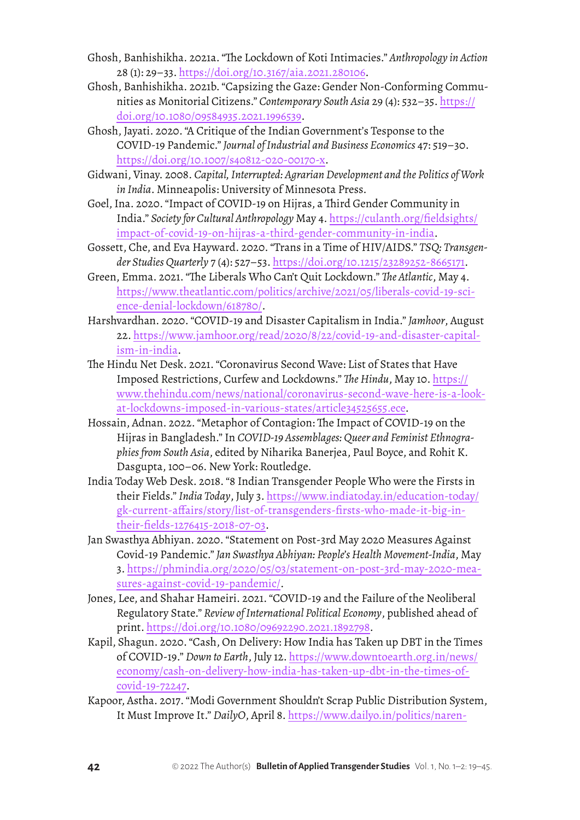- Ghosh, Banhishikha. 2021a. "The Lockdown of Koti Intimacies." *Anthropology in Action*  28 (1): 29–33. <https://doi.org/10.3167/aia.2021.280106>.
- Ghosh, Banhishikha. 2021b. "Capsizing the Gaze: Gender Non-Conforming Communities as Monitorial Citizens." *Contemporary South Asia* 29 (4): 532–35. [https://](https://doi.org/10.1080/09584935.2021.1996539) [doi.org/10.1080/09584935.2021.1996539](https://doi.org/10.1080/09584935.2021.1996539).
- Ghosh, Jayati. 2020. "A Critique of the Indian Government's Tesponse to the COVID-19 Pandemic." *Journal of Industrial and Business Economics* 47: 519–30. <https://doi.org/10.1007/s40812-020-00170-x>.
- Gidwani, Vinay. 2008. *Capital, Interrupted: Agrarian Development and the Politics of Work in India*. Minneapolis: University of Minnesota Press.
- Goel, Ina. 2020. "Impact of COVID-19 on Hijras, a Third Gender Community in India." *Society for Cultural Anthropology* May 4. [https://culanth.org/fieldsights/](https://culanth.org/fieldsights/impact-of-covid-19-on-hijras-a-third-gender-community-in-india) [impact-of-covid-19-on-hijras-a-third-gender-community-in-india](https://culanth.org/fieldsights/impact-of-covid-19-on-hijras-a-third-gender-community-in-india).
- Gossett, Che, and Eva Hayward. 2020. "Trans in a Time of HIV/AIDS." *TSQ: Transgender Studies Quarterly* 7 (4): 527–53.<https://doi.org/10.1215/23289252-8665171>.
- Green, Emma. 2021. "The Liberals Who Can't Quit Lockdown." *The Atlantic*, May 4. [https://www.theatlantic.com/politics/archive/2021/05/liberals-covid-19-sci](https://www.theatlantic.com/politics/archive/2021/05/liberals-covid-19-science-denial-lockdown/618780/)[ence-denial-lockdown/618780/](https://www.theatlantic.com/politics/archive/2021/05/liberals-covid-19-science-denial-lockdown/618780/).
- Harshvardhan. 2020. "COVID-19 and Disaster Capitalism in India." *Jamhoor*, August 22. [https://www.jamhoor.org/read/2020/8/22/covid-19-and-disaster-capital](https://www.jamhoor.org/read/2020/8/22/covid-19-and-disaster-capitalism-in-india)[ism-in-india](https://www.jamhoor.org/read/2020/8/22/covid-19-and-disaster-capitalism-in-india).
- The Hindu Net Desk. 2021. "Coronavirus Second Wave: List of States that Have Imposed Restrictions, Curfew and Lockdowns." *The Hindu*, May 10. [https://](https://www.thehindu.com/news/national/coronavirus-second-wave-here-is-a-look-at-lockdowns-imposed-in-various-states/article34525655.ece) [www.thehindu.com/news/national/coronavirus-second-wave-here-is-a-look](https://www.thehindu.com/news/national/coronavirus-second-wave-here-is-a-look-at-lockdowns-imposed-in-various-states/article34525655.ece)[at-lockdowns-imposed-in-various-states/article34525655.ece](https://www.thehindu.com/news/national/coronavirus-second-wave-here-is-a-look-at-lockdowns-imposed-in-various-states/article34525655.ece).
- Hossain, Adnan. 2022. "Metaphor of Contagion: The Impact of COVID-19 on the Hijras in Bangladesh." In *COVID-19 Assemblages: Queer and Feminist Ethnographies from South Asia*, edited by Niharika Banerjea, Paul Boyce, and Rohit K. Dasgupta, 100–06. New York: Routledge.
- India Today Web Desk. 2018. "8 Indian Transgender People Who were the Firsts in their Fields." *India Today*, July 3. [https://www.indiatoday.in/education-today/](https://www.indiatoday.in/education-today/gk-current-affairs/story/list-of-transgenders-firsts-who-made-it-big-in-their-fields-1276415-2018-07-03) [gk-current-affairs/story/list-of-transgenders-firsts-who-made-it-big-in](https://www.indiatoday.in/education-today/gk-current-affairs/story/list-of-transgenders-firsts-who-made-it-big-in-their-fields-1276415-2018-07-03)[their-fields-1276415-2018-07-03](https://www.indiatoday.in/education-today/gk-current-affairs/story/list-of-transgenders-firsts-who-made-it-big-in-their-fields-1276415-2018-07-03).
- Jan Swasthya Abhiyan. 2020. "Statement on Post-3rd May 2020 Measures Against Covid-19 Pandemic." *Jan Swasthya Abhiyan: People's Health Movement-India*, May 3. [https://phmindia.org/2020/05/03/statement-on-post-3rd-may-2020-mea](https://phmindia.org/2020/05/03/statement-on-post-3rd-may-2020-measures-against-covid-19-pandemic/)[sures-against-covid-19-pandemic/](https://phmindia.org/2020/05/03/statement-on-post-3rd-may-2020-measures-against-covid-19-pandemic/).
- Jones, Lee, and Shahar Hameiri. 2021. "COVID-19 and the Failure of the Neoliberal Regulatory State." *Review of International Political Economy*, published ahead of print. <https://doi.org/10.1080/09692290.2021.1892798>.
- Kapil, Shagun. 2020. "Cash, On Delivery: How India has Taken up DBT in the Times of COVID-19." *Down to Earth*, July 12. [https://www.downtoearth.org.in/news/](https://www.downtoearth.org.in/news/economy/cash-on-delivery-how-india-has-taken-up-dbt-in-the-times-of-covid-19-72247) [economy/cash-on-delivery-how-india-has-taken-up-dbt-in-the-times-of](https://www.downtoearth.org.in/news/economy/cash-on-delivery-how-india-has-taken-up-dbt-in-the-times-of-covid-19-72247)[covid-19-72247](https://www.downtoearth.org.in/news/economy/cash-on-delivery-how-india-has-taken-up-dbt-in-the-times-of-covid-19-72247).
- Kapoor, Astha. 2017. "Modi Government Shouldn't Scrap Public Distribution System, It Must Improve It." *DailyO*, April 8. [https://www.dailyo.in/politics/naren](https://www.dailyo.in/politics/narendra-modi-public-distribution-system-pds-poverty-hunger-food/story/1/18778.html)-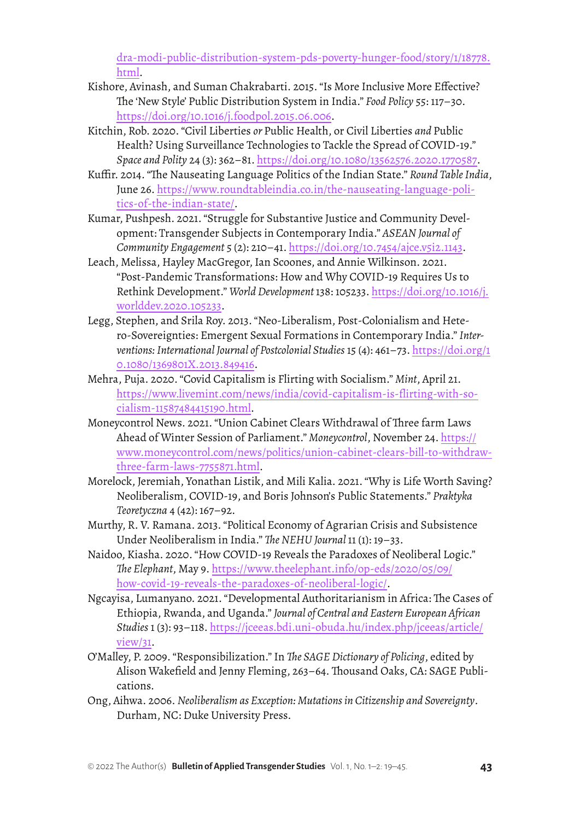[dra-modi-public-distribution-system-pds-poverty-hunger-food/story/1/18778.](https://www.dailyo.in/politics/narendra-modi-public-distribution-system-pds-poverty-hunger-food/story/1/18778.html) [html](https://www.dailyo.in/politics/narendra-modi-public-distribution-system-pds-poverty-hunger-food/story/1/18778.html).

- Kishore, Avinash, and Suman Chakrabarti. 2015. "Is More Inclusive More Effective? The 'New Style' Public Distribution System in India." *Food Policy* 55: 117–30. <https://doi.org/10.1016/j.foodpol.2015.06.006>.
- Kitchin, Rob. 2020. "Civil Liberties *or* Public Health, or Civil Liberties *and* Public Health? Using Surveillance Technologies to Tackle the Spread of COVID-19." *Space and Polity* 24 (3): 362–81. <https://doi.org/10.1080/13562576.2020.1770587>.
- Kuffir. 2014. "The Nauseating Language Politics of the Indian State." *Round Table India*, June 26. [https://www.roundtableindia.co.in/the-nauseating-language-poli](https://www.roundtableindia.co.in/the-nauseating-language-politics-of-the-indian-state/)[tics-of-the-indian-state/.](https://www.roundtableindia.co.in/the-nauseating-language-politics-of-the-indian-state/)
- Kumar, Pushpesh. 2021. "Struggle for Substantive Justice and Community Development: Transgender Subjects in Contemporary India." *ASEAN Journal of Community Engagement* 5 (2): 210–41. <https://doi.org/10.7454/ajce.v5i2.1143>.
- Leach, Melissa, Hayley MacGregor, Ian Scoones, and Annie Wilkinson. 2021. "Post-Pandemic Transformations: How and Why COVID-19 Requires Us to Rethink Development." *World Development* 138: 105233. [https://doi.org/10.1016/j.](https://doi.org/10.1016/j.worlddev.2020.105233) [worlddev.2020.105233](https://doi.org/10.1016/j.worlddev.2020.105233).
- Legg, Stephen, and Srila Roy. 2013. "Neo-Liberalism, Post-Colonialism and Hetero-Sovereignties: Emergent Sexual Formations in Contemporary India." *Interventions: International Journal of Postcolonial Studies* 15 (4): 461–73. [https://doi.org/1](https://doi.org/10.1080/1369801X.2013.849416) [0.1080/1369801X.2013.849416](https://doi.org/10.1080/1369801X.2013.849416).
- Mehra, Puja. 2020. "Covid Capitalism is Flirting with Socialism." *Mint*, April 21. [https://www.livemint.com/news/india/covid-capitalism-is-flirting-with-so](https://www.livemint.com/news/india/covid-capitalism-is-flirting-with-socialism-11587484415190.html)[cialism-11587484415190.html](https://www.livemint.com/news/india/covid-capitalism-is-flirting-with-socialism-11587484415190.html).
- Moneycontrol News. 2021. "Union Cabinet Clears Withdrawal of Three farm Laws Ahead of Winter Session of Parliament." *Moneycontrol*, November 24. [https://](https://www.moneycontrol.com/news/politics/union-cabinet-clears-bill-to-withdraw-three-farm-laws-7755871.html) [www.moneycontrol.com/news/politics/union-cabinet-clears-bill-to-withdraw](https://www.moneycontrol.com/news/politics/union-cabinet-clears-bill-to-withdraw-three-farm-laws-7755871.html)[three-farm-laws-7755871.html](https://www.moneycontrol.com/news/politics/union-cabinet-clears-bill-to-withdraw-three-farm-laws-7755871.html).
- Morelock, Jeremiah, Yonathan Listik, and Mili Kalia. 2021. "Why is Life Worth Saving? Neoliberalism, COVID-19, and Boris Johnson's Public Statements." *Praktyka Teoretyczna* 4 (42): 167–92.
- Murthy, R. V. Ramana. 2013. "Political Economy of Agrarian Crisis and Subsistence Under Neoliberalism in India." *The NEHU Journal* 11 (1): 19–33.
- Naidoo, Kiasha. 2020. "How COVID-19 Reveals the Paradoxes of Neoliberal Logic." *The Elephant*, May 9. [https://www.theelephant.info/op-eds/2020/05/09/](https://www.theelephant.info/op-eds/2020/05/09/how-covid-19-reveals-the-paradoxes-of-neoliberal-logic/) [how-covid-19-reveals-the-paradoxes-of-neoliberal-logic/](https://www.theelephant.info/op-eds/2020/05/09/how-covid-19-reveals-the-paradoxes-of-neoliberal-logic/).
- Ngcayisa, Lumanyano. 2021. "Developmental Authoritarianism in Africa: The Cases of Ethiopia, Rwanda, and Uganda." *Journal of Central and Eastern European African Studies* 1 (3): 93–118. [https://jceeas.bdi.uni-obuda.hu/index.php/jceeas/article/](https://jceeas.bdi.uni-obuda.hu/index.php/jceeas/article/view/31) [view/31](https://jceeas.bdi.uni-obuda.hu/index.php/jceeas/article/view/31).
- O'Malley, P. 2009. "Responsibilization." In *The SAGE Dictionary of Policing*, edited by Alison Wakefield and Jenny Fleming, 263–64. Thousand Oaks, CA: SAGE Publications.
- Ong, Aihwa. 2006. *Neoliberalism as Exception: Mutations in Citizenship and Sovereignty*. Durham, NC: Duke University Press.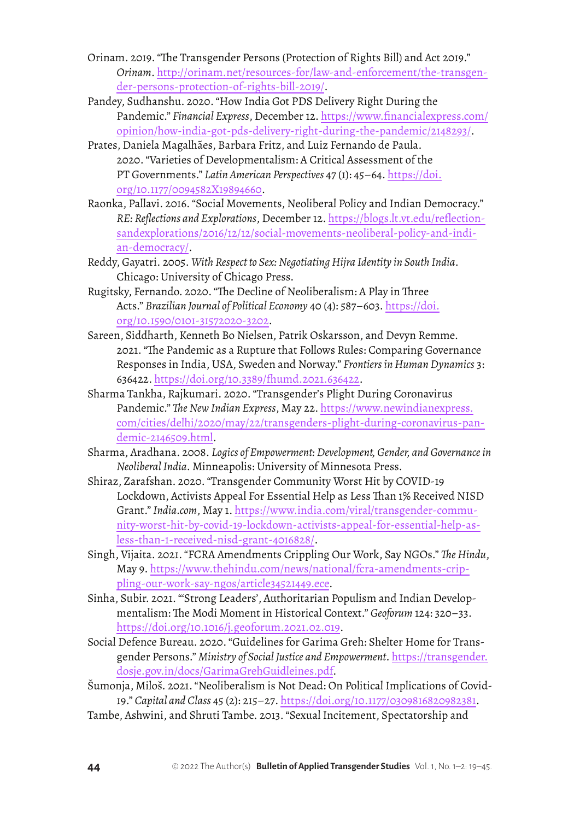- Orinam. 2019. "The Transgender Persons (Protection of Rights Bill) and Act 2019." *Orinam*. [http://orinam.net/resources-for/law-and-enforcement/the-transgen](http://orinam.net/resources-for/law-and-enforcement/the-transgender-persons-protection-of-rights-bill-2019/)[der-persons-protection-of-rights-bill-2019/](http://orinam.net/resources-for/law-and-enforcement/the-transgender-persons-protection-of-rights-bill-2019/).
- Pandey, Sudhanshu. 2020. "How India Got PDS Delivery Right During the Pandemic." *Financial Express*, December 12. [https://www.financialexpress.com/](https://www.financialexpress.com/opinion/how-india-got-pds-delivery-right-during-the-pandemic/2148293/) [opinion/how-india-got-pds-delivery-right-during-the-pandemic/2148293/](https://www.financialexpress.com/opinion/how-india-got-pds-delivery-right-during-the-pandemic/2148293/).
- Prates, Daniela Magalhães, Barbara Fritz, and Luiz Fernando de Paula. 2020. "Varieties of Developmentalism: A Critical Assessment of the PT Governments." *Latin American Perspectives* 47 (1): 45–64. [https://doi.](https://doi.org/10.1177/0094582X19894660) [org/10.1177/0094582X19894660](https://doi.org/10.1177/0094582X19894660).
- Raonka, Pallavi. 2016. "Social Movements, Neoliberal Policy and Indian Democracy." *RE: Reflections and Explorations*, December 12. [https://blogs.lt.vt.edu/reflection](https://blogs.lt.vt.edu/reflectionsandexplorations/2016/12/12/social-movements-neoliberal-policy-and-indian-democracy/)[sandexplorations/2016/12/12/social-movements-neoliberal-policy-and-indi](https://blogs.lt.vt.edu/reflectionsandexplorations/2016/12/12/social-movements-neoliberal-policy-and-indian-democracy/)[an-democracy/.](https://blogs.lt.vt.edu/reflectionsandexplorations/2016/12/12/social-movements-neoliberal-policy-and-indian-democracy/)
- Reddy, Gayatri. 2005. *With Respect to Sex: Negotiating Hijra Identity in South India*. Chicago: University of Chicago Press.
- Rugitsky, Fernando. 2020. "The Decline of Neoliberalism: A Play in Three Acts." *Brazilian Journal of Political Economy* 40 (4): 587–603. [https://doi.](https://doi.org/10.1590/0101-31572020-3202) [org/10.1590/0101-31572020-3202](https://doi.org/10.1590/0101-31572020-3202).
- Sareen, Siddharth, Kenneth Bo Nielsen, Patrik Oskarsson, and Devyn Remme. 2021. "The Pandemic as a Rupture that Follows Rules: Comparing Governance Responses in India, USA, Sweden and Norway." *Frontiers in Human Dynamics* 3: 636422. <https://doi.org/10.3389/fhumd.2021.636422>.
- Sharma Tankha, Rajkumari. 2020. "Transgender's Plight During Coronavirus Pandemic." *The New Indian Express*, May 22. [https://www.newindianexpress.](https://www.newindianexpress.com/cities/delhi/2020/may/22/transgenders-plight-during-coronavirus-pandemic-2146509.html) [com/cities/delhi/2020/may/22/transgenders-plight-during-coronavirus-pan](https://www.newindianexpress.com/cities/delhi/2020/may/22/transgenders-plight-during-coronavirus-pandemic-2146509.html)[demic-2146509.html](https://www.newindianexpress.com/cities/delhi/2020/may/22/transgenders-plight-during-coronavirus-pandemic-2146509.html).
- Sharma, Aradhana. 2008. *Logics of Empowerment: Development, Gender, and Governance in Neoliberal India*. Minneapolis: University of Minnesota Press.
- Shiraz, Zarafshan. 2020. "Transgender Community Worst Hit by COVID-19 Lockdown, Activists Appeal For Essential Help as Less Than 1% Received NISD Grant." *India.com*, May 1. [https://www.india.com/viral/transgender-commu](https://www.india.com/viral/transgender-community-worst-hit-by-covid-19-lockdown-activists-appeal-for-essential-help-as-less-than-1-received-nisd-grant-4016828/)[nity-worst-hit-by-covid-19-lockdown-activists-appeal-for-essential-help-as](https://www.india.com/viral/transgender-community-worst-hit-by-covid-19-lockdown-activists-appeal-for-essential-help-as-less-than-1-received-nisd-grant-4016828/)[less-than-1-received-nisd-grant-4016828/](https://www.india.com/viral/transgender-community-worst-hit-by-covid-19-lockdown-activists-appeal-for-essential-help-as-less-than-1-received-nisd-grant-4016828/).
- Singh, Vijaita. 2021. "FCRA Amendments Crippling Our Work, Say NGOs." *The Hindu*, May 9. [https://www.thehindu.com/news/national/fcra-amendments-crip](https://www.thehindu.com/news/national/fcra-amendments-crippling-our-work-say-ngos/article34521449.ece)[pling-our-work-say-ngos/article34521449.ece](https://www.thehindu.com/news/national/fcra-amendments-crippling-our-work-say-ngos/article34521449.ece).
- Sinha, Subir. 2021. "'Strong Leaders', Authoritarian Populism and Indian Developmentalism: The Modi Moment in Historical Context." *Geoforum* 124: 320–33. <https://doi.org/10.1016/j.geoforum.2021.02.019>.
- Social Defence Bureau. 2020. "Guidelines for Garima Greh: Shelter Home for Transgender Persons." *Ministry of Social Justice and Empowerment*. [https://transgender.](https://transgender.dosje.gov.in/docs/GarimaGrehGuidleines.pdf) [dosje.gov.in/docs/GarimaGrehGuidleines.pdf](https://transgender.dosje.gov.in/docs/GarimaGrehGuidleines.pdf).
- Šumonja, Miloš. 2021. "Neoliberalism is Not Dead: On Political Implications of Covid-19." *Capital and Class* 45 (2): 215–27. [https://doi.org/10.1177/0309816820982381](https://doi.org/10.1177%2F0309816820982381).
- Tambe, Ashwini, and Shruti Tambe. 2013. "Sexual Incitement, Spectatorship and